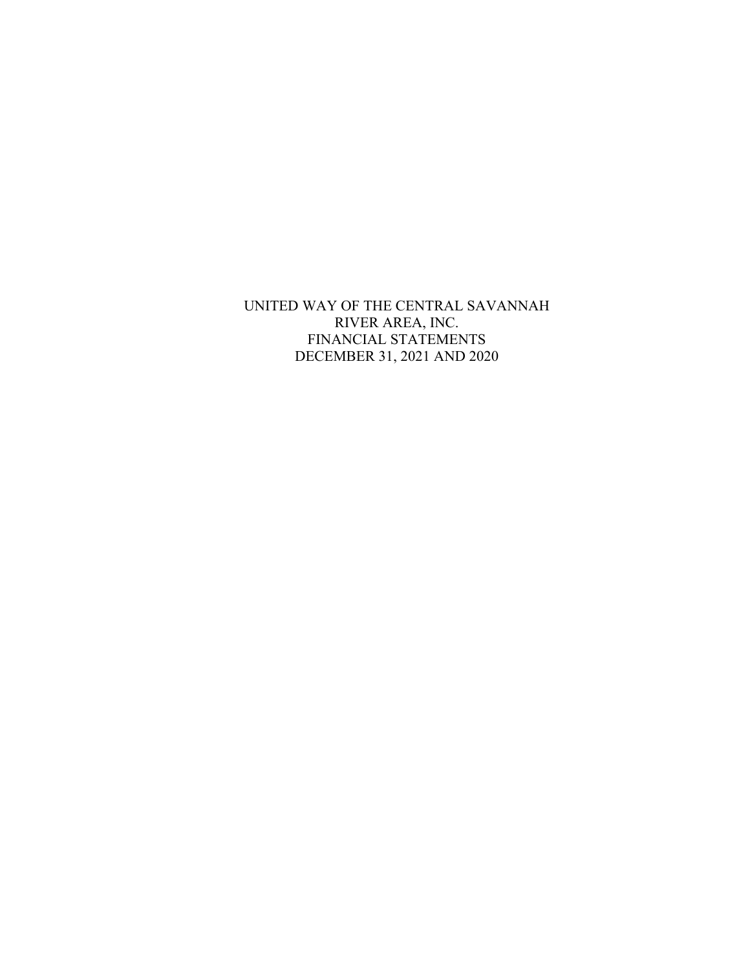UNITED WAY OF THE CENTRAL SAVANNAH RIVER AREA, INC. FINANCIAL STATEMENTS DECEMBER 31, 2021 AND 2020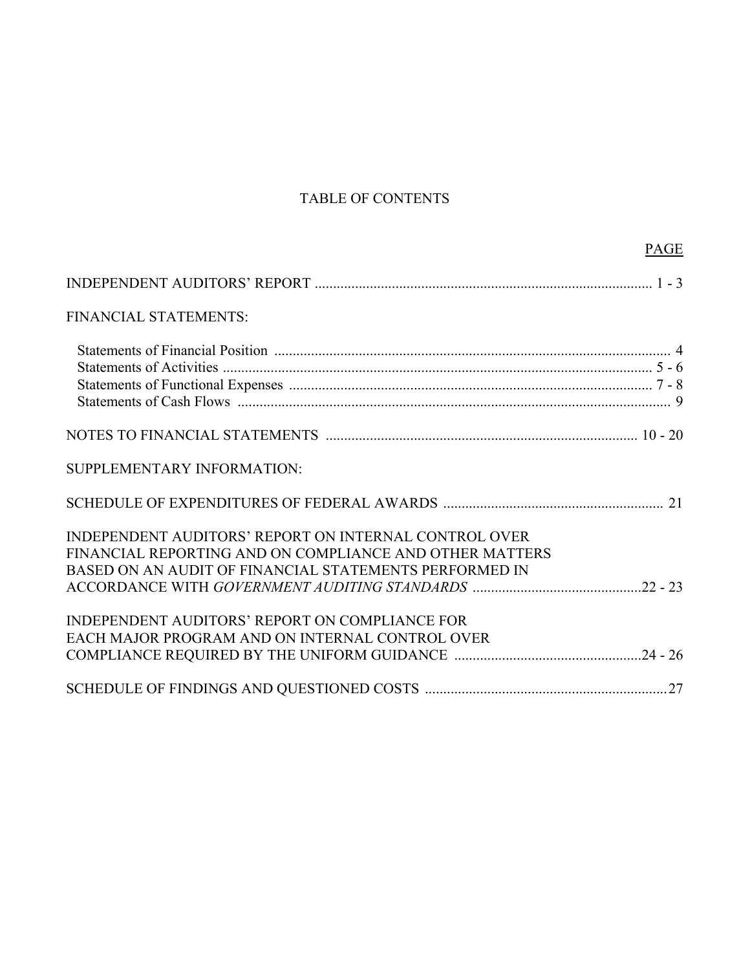# TABLE OF CONTENTS

PAGE

| FINANCIAL STATEMENTS:                                   |  |
|---------------------------------------------------------|--|
|                                                         |  |
|                                                         |  |
|                                                         |  |
|                                                         |  |
|                                                         |  |
| SUPPLEMENTARY INFORMATION:                              |  |
|                                                         |  |
| INDEPENDENT AUDITORS' REPORT ON INTERNAL CONTROL OVER   |  |
| FINANCIAL REPORTING AND ON COMPLIANCE AND OTHER MATTERS |  |
| BASED ON AN AUDIT OF FINANCIAL STATEMENTS PERFORMED IN  |  |
|                                                         |  |
| INDEPENDENT AUDITORS' REPORT ON COMPLIANCE FOR          |  |
| EACH MAJOR PROGRAM AND ON INTERNAL CONTROL OVER         |  |
|                                                         |  |
|                                                         |  |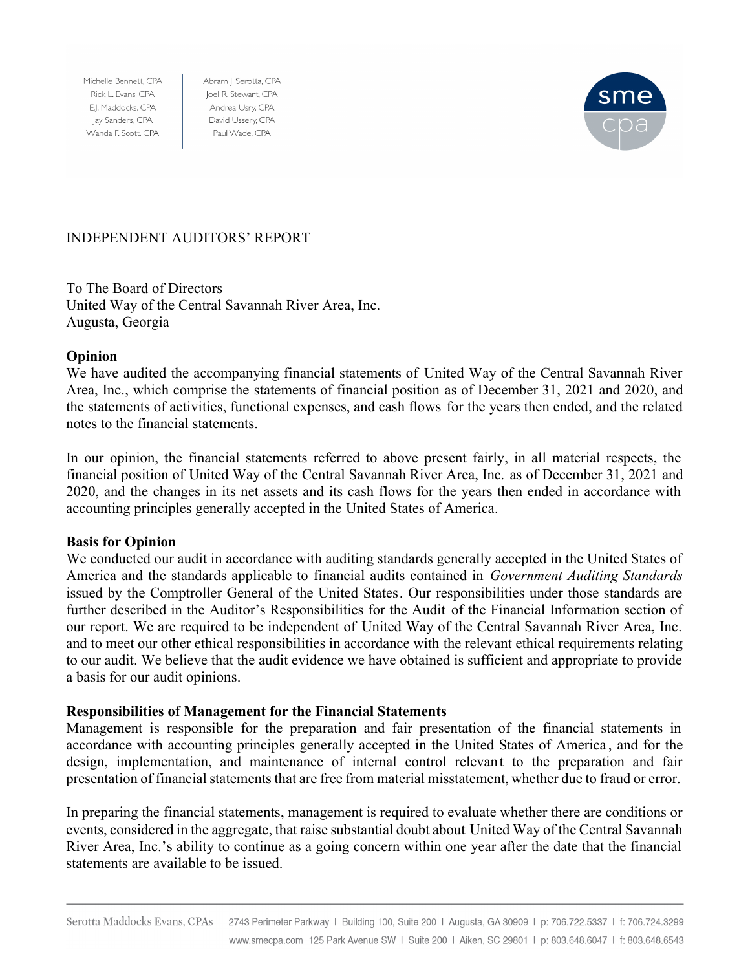Michelle Bennett, CPA Rick L. Evans, CPA E.J. Maddocks, CPA Jay Sanders, CPA Wanda F. Scott, CPA

Abram J. Serotta, CPA Joel R. Stewart, CPA Andrea Usry, CPA David Ussery, CPA Paul Wade, CPA



### INDEPENDENT AUDITORS' REPORT

To The Board of Directors United Way of the Central Savannah River Area, Inc. Augusta, Georgia

### **Opinion**

We have audited the accompanying financial statements of United Way of the Central Savannah River Area, Inc., which comprise the statements of financial position as of December 31, 2021 and 2020, and the statements of activities, functional expenses, and cash flows for the years then ended, and the related notes to the financial statements.

In our opinion, the financial statements referred to above present fairly, in all material respects, the financial position of United Way of the Central Savannah River Area, Inc. as of December 31, 2021 and 2020, and the changes in its net assets and its cash flows for the years then ended in accordance with accounting principles generally accepted in the United States of America.

### **Basis for Opinion**

We conducted our audit in accordance with auditing standards generally accepted in the United States of America and the standards applicable to financial audits contained in *Government Auditing Standards* issued by the Comptroller General of the United States. Our responsibilities under those standards are further described in the Auditor's Responsibilities for the Audit of the Financial Information section of our report. We are required to be independent of United Way of the Central Savannah River Area, Inc. and to meet our other ethical responsibilities in accordance with the relevant ethical requirements relating to our audit. We believe that the audit evidence we have obtained is sufficient and appropriate to provide a basis for our audit opinions.

### **Responsibilities of Management for the Financial Statements**

Management is responsible for the preparation and fair presentation of the financial statements in accordance with accounting principles generally accepted in the United States of America , and for the design, implementation, and maintenance of internal control relevant to the preparation and fair presentation of financial statements that are free from material misstatement, whether due to fraud or error.

In preparing the financial statements, management is required to evaluate whether there are conditions or events, considered in the aggregate, that raise substantial doubt about United Way of the Central Savannah River Area, Inc.'s ability to continue as a going concern within one year after the date that the financial statements are available to be issued.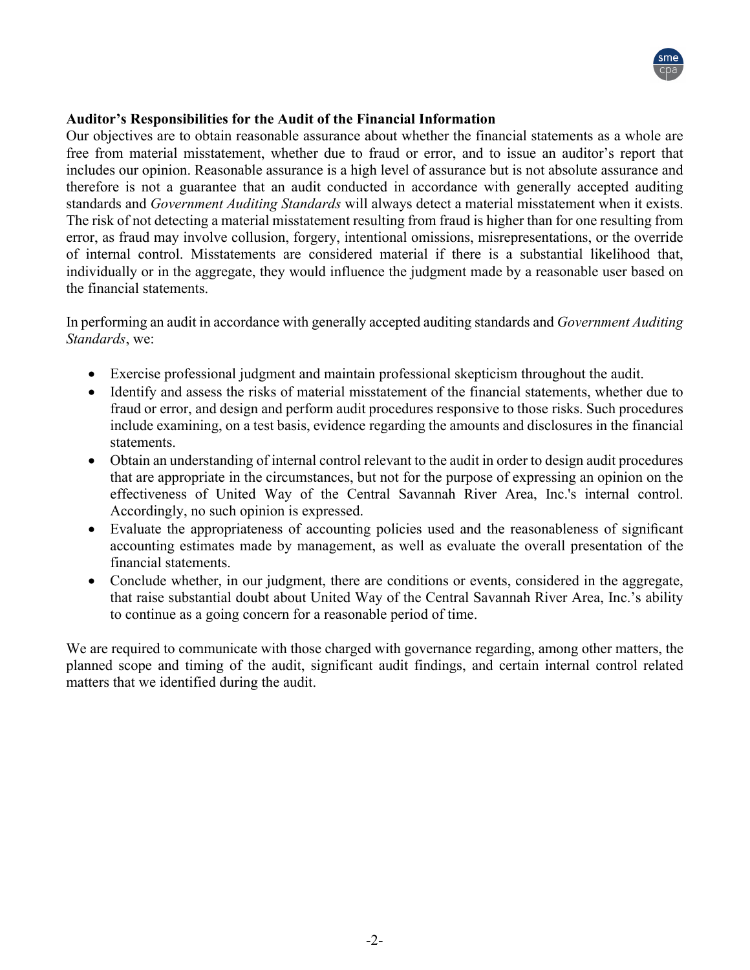

### **Auditor's Responsibilities for the Audit of the Financial Information**

Our objectives are to obtain reasonable assurance about whether the financial statements as a whole are free from material misstatement, whether due to fraud or error, and to issue an auditor's report that includes our opinion. Reasonable assurance is a high level of assurance but is not absolute assurance and therefore is not a guarantee that an audit conducted in accordance with generally accepted auditing standards and *Government Auditing Standards* will always detect a material misstatement when it exists. The risk of not detecting a material misstatement resulting from fraud is higher than for one resulting from error, as fraud may involve collusion, forgery, intentional omissions, misrepresentations, or the override of internal control. Misstatements are considered material if there is a substantial likelihood that, individually or in the aggregate, they would influence the judgment made by a reasonable user based on the financial statements.

In performing an audit in accordance with generally accepted auditing standards and *Government Auditing Standards*, we:

- Exercise professional judgment and maintain professional skepticism throughout the audit.
- Identify and assess the risks of material misstatement of the financial statements, whether due to fraud or error, and design and perform audit procedures responsive to those risks. Such procedures include examining, on a test basis, evidence regarding the amounts and disclosures in the financial statements.
- Obtain an understanding of internal control relevant to the audit in order to design audit procedures that are appropriate in the circumstances, but not for the purpose of expressing an opinion on the effectiveness of United Way of the Central Savannah River Area, Inc.'s internal control. Accordingly, no such opinion is expressed.
- Evaluate the appropriateness of accounting policies used and the reasonableness of significant accounting estimates made by management, as well as evaluate the overall presentation of the financial statements.
- Conclude whether, in our judgment, there are conditions or events, considered in the aggregate, that raise substantial doubt about United Way of the Central Savannah River Area, Inc.'s ability to continue as a going concern for a reasonable period of time.

We are required to communicate with those charged with governance regarding, among other matters, the planned scope and timing of the audit, significant audit findings, and certain internal control related matters that we identified during the audit.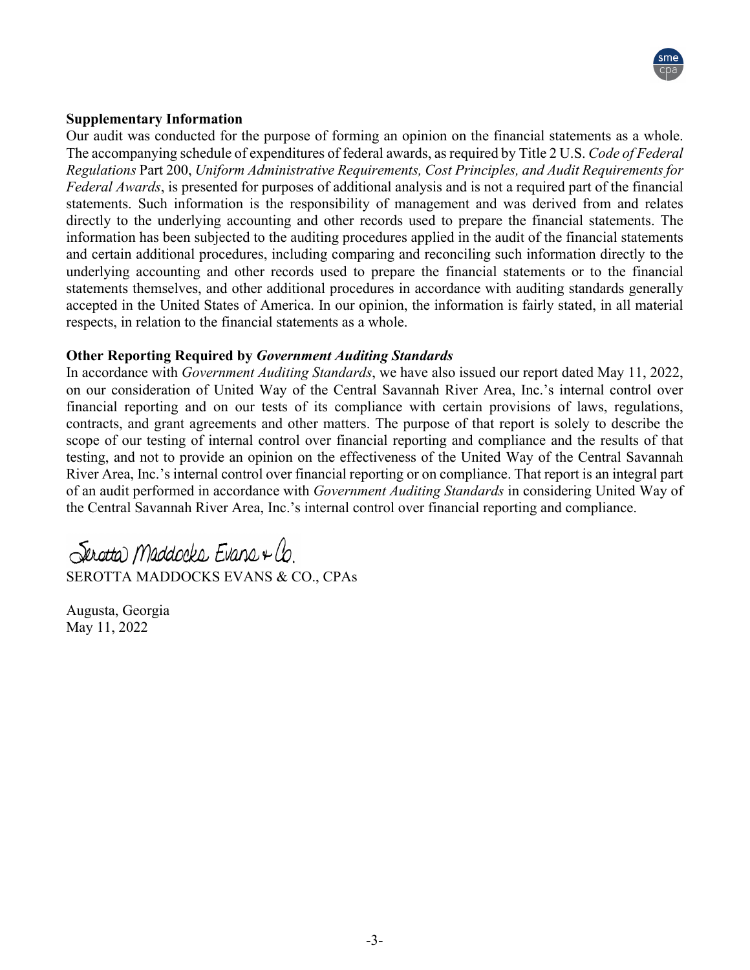

### **Supplementary Information**

Our audit was conducted for the purpose of forming an opinion on the financial statements as a whole. The accompanying schedule of expenditures of federal awards, as required by Title 2 U.S. *Code of Federal Regulations* Part 200, *Uniform Administrative Requirements, Cost Principles, and Audit Requirements for Federal Awards*, is presented for purposes of additional analysis and is not a required part of the financial statements. Such information is the responsibility of management and was derived from and relates directly to the underlying accounting and other records used to prepare the financial statements. The information has been subjected to the auditing procedures applied in the audit of the financial statements and certain additional procedures, including comparing and reconciling such information directly to the underlying accounting and other records used to prepare the financial statements or to the financial statements themselves, and other additional procedures in accordance with auditing standards generally accepted in the United States of America. In our opinion, the information is fairly stated, in all material respects, in relation to the financial statements as a whole.

### **Other Reporting Required by** *Government Auditing Standards*

In accordance with *Government Auditing Standards*, we have also issued our report dated May 11, 2022, on our consideration of United Way of the Central Savannah River Area, Inc.'s internal control over financial reporting and on our tests of its compliance with certain provisions of laws, regulations, contracts, and grant agreements and other matters. The purpose of that report is solely to describe the scope of our testing of internal control over financial reporting and compliance and the results of that testing, and not to provide an opinion on the effectiveness of the United Way of the Central Savannah River Area, Inc.'s internal control over financial reporting or on compliance. That report is an integral part of an audit performed in accordance with *Government Auditing Standards* in considering United Way of the Central Savannah River Area, Inc.'s internal control over financial reporting and compliance.

Serotta Maddocks Evans + Co. SEROTTA MADDOCKS EVANS & CO., CPAs

Augusta, Georgia May 11, 2022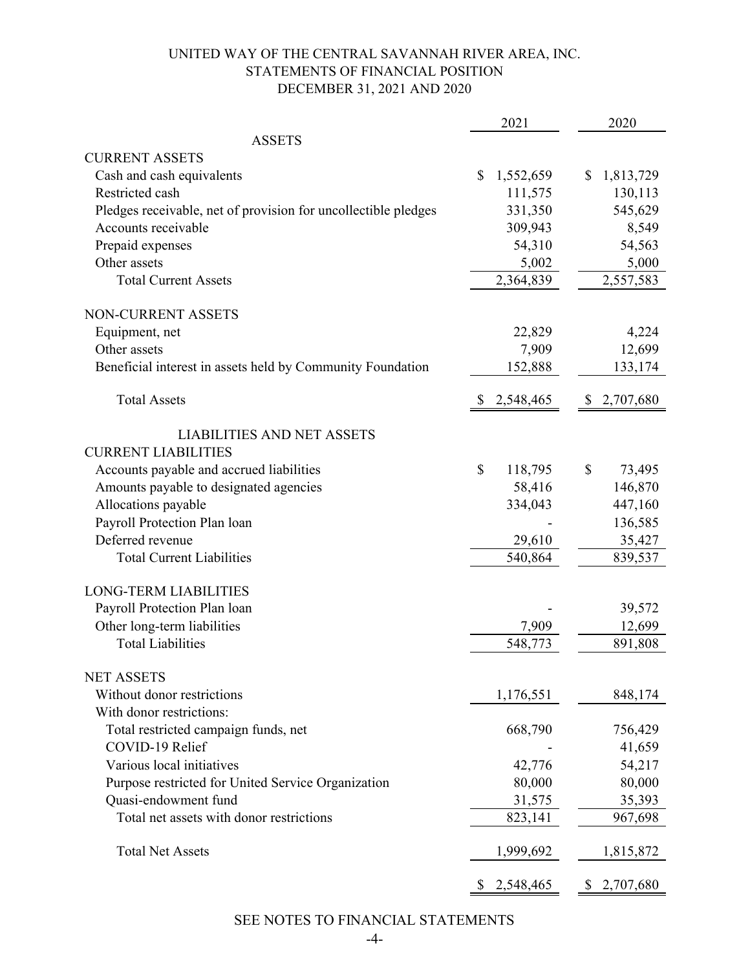## UNITED WAY OF THE CENTRAL SAVANNAH RIVER AREA, INC. STATEMENTS OF FINANCIAL POSITION DECEMBER 31, 2021 AND 2020

|                                                                | 2021                    | 2020              |
|----------------------------------------------------------------|-------------------------|-------------------|
| <b>ASSETS</b>                                                  |                         |                   |
| <b>CURRENT ASSETS</b>                                          |                         |                   |
| Cash and cash equivalents                                      | \$<br>1,552,659         | \$<br>1,813,729   |
| Restricted cash                                                | 111,575                 | 130,113           |
| Pledges receivable, net of provision for uncollectible pledges | 331,350                 | 545,629           |
| Accounts receivable                                            | 309,943                 | 8,549             |
| Prepaid expenses                                               | 54,310                  | 54,563            |
| Other assets                                                   | 5,002                   | 5,000             |
| <b>Total Current Assets</b>                                    | 2,364,839               | 2,557,583         |
| <b>NON-CURRENT ASSETS</b>                                      |                         |                   |
| Equipment, net                                                 | 22,829                  | 4,224             |
| Other assets                                                   | 7,909                   | 12,699            |
| Beneficial interest in assets held by Community Foundation     | 152,888                 | 133,174           |
| <b>Total Assets</b>                                            | 2,548,465               | 2,707,680         |
|                                                                |                         |                   |
| <b>LIABILITIES AND NET ASSETS</b>                              |                         |                   |
| <b>CURRENT LIABILITIES</b>                                     |                         |                   |
| Accounts payable and accrued liabilities                       | $\mathbb{S}$<br>118,795 | \$<br>73,495      |
| Amounts payable to designated agencies                         | 58,416                  | 146,870           |
| Allocations payable                                            | 334,043                 | 447,160           |
| Payroll Protection Plan loan                                   |                         | 136,585           |
| Deferred revenue                                               | 29,610                  | 35,427            |
| <b>Total Current Liabilities</b>                               | 540,864                 | 839,537           |
| <b>LONG-TERM LIABILITIES</b>                                   |                         |                   |
| Payroll Protection Plan loan                                   |                         | 39,572            |
| Other long-term liabilities                                    | 7,909                   | 12,699            |
| <b>Total Liabilities</b>                                       | 548,773                 | 891,808           |
|                                                                |                         |                   |
| <b>NET ASSETS</b><br>Without donor restrictions                |                         |                   |
| With donor restrictions:                                       | 1,176,551               | 848,174           |
| Total restricted campaign funds, net                           | 668,790                 |                   |
| COVID-19 Relief                                                |                         | 756,429<br>41,659 |
| Various local initiatives                                      | 42,776                  | 54,217            |
| Purpose restricted for United Service Organization             | 80,000                  | 80,000            |
| Quasi-endowment fund                                           | 31,575                  | 35,393            |
| Total net assets with donor restrictions                       | 823,141                 | 967,698           |
|                                                                |                         |                   |
| <b>Total Net Assets</b>                                        | 1,999,692               | 1,815,872         |
|                                                                | 2,548,465<br>\$.        | 2,707,680<br>\$   |

SEE NOTES TO FINANCIAL STATEMENTS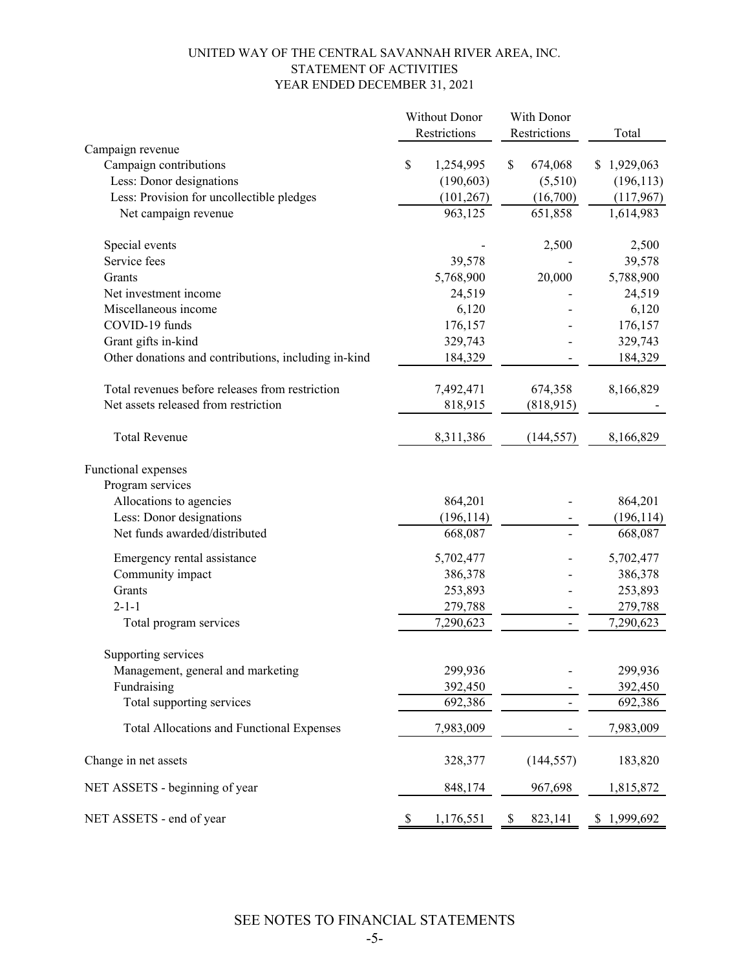#### UNITED WAY OF THE CENTRAL SAVANNAH RIVER AREA, INC. STATEMENT OF ACTIVITIES YEAR ENDED DECEMBER 31, 2021

|                                                      | <b>Without Donor</b> |              |    | With Donor   |             |  |
|------------------------------------------------------|----------------------|--------------|----|--------------|-------------|--|
|                                                      |                      | Restrictions |    | Restrictions | Total       |  |
| Campaign revenue                                     |                      |              |    |              |             |  |
| Campaign contributions                               | \$                   | 1,254,995    | \$ | 674,068      | \$1,929,063 |  |
| Less: Donor designations                             |                      | (190, 603)   |    | (5,510)      | (196, 113)  |  |
| Less: Provision for uncollectible pledges            |                      | (101, 267)   |    | (16,700)     | (117,967)   |  |
| Net campaign revenue                                 |                      | 963,125      |    | 651,858      | 1,614,983   |  |
| Special events                                       |                      |              |    | 2,500        | 2,500       |  |
| Service fees                                         |                      | 39,578       |    |              | 39,578      |  |
| Grants                                               |                      | 5,768,900    |    | 20,000       | 5,788,900   |  |
| Net investment income                                |                      | 24,519       |    |              | 24,519      |  |
| Miscellaneous income                                 |                      | 6,120        |    |              | 6,120       |  |
| COVID-19 funds                                       |                      | 176,157      |    |              | 176,157     |  |
| Grant gifts in-kind                                  |                      | 329,743      |    |              | 329,743     |  |
| Other donations and contributions, including in-kind |                      | 184,329      |    |              | 184,329     |  |
| Total revenues before releases from restriction      |                      | 7,492,471    |    | 674,358      | 8,166,829   |  |
| Net assets released from restriction                 |                      | 818,915      |    | (818,915)    |             |  |
| <b>Total Revenue</b>                                 |                      | 8,311,386    |    | (144, 557)   | 8,166,829   |  |
| Functional expenses                                  |                      |              |    |              |             |  |
| Program services                                     |                      |              |    |              |             |  |
| Allocations to agencies                              |                      | 864,201      |    |              | 864,201     |  |
| Less: Donor designations                             |                      | (196, 114)   |    |              | (196, 114)  |  |
| Net funds awarded/distributed                        |                      | 668,087      |    |              | 668,087     |  |
| Emergency rental assistance                          |                      | 5,702,477    |    |              | 5,702,477   |  |
| Community impact                                     |                      | 386,378      |    |              | 386,378     |  |
| Grants                                               |                      | 253,893      |    |              | 253,893     |  |
| $2 - 1 - 1$                                          |                      | 279,788      |    |              | 279,788     |  |
| Total program services                               |                      | 7,290,623    |    |              | 7,290,623   |  |
| Supporting services                                  |                      |              |    |              |             |  |
| Management, general and marketing                    |                      | 299,936      |    |              | 299,936     |  |
| Fundraising                                          |                      | 392,450      |    |              | 392,450     |  |
| Total supporting services                            |                      | 692,386      |    |              | 692,386     |  |
| <b>Total Allocations and Functional Expenses</b>     |                      | 7,983,009    |    |              | 7,983,009   |  |
| Change in net assets                                 |                      | 328,377      |    | (144, 557)   | 183,820     |  |
| NET ASSETS - beginning of year                       |                      | 848,174      |    | 967,698      | 1,815,872   |  |
| NET ASSETS - end of year                             | \$                   | 1,176,551    | S  | 823,141      | \$1,999,692 |  |

SEE NOTES TO FINANCIAL STATEMENTS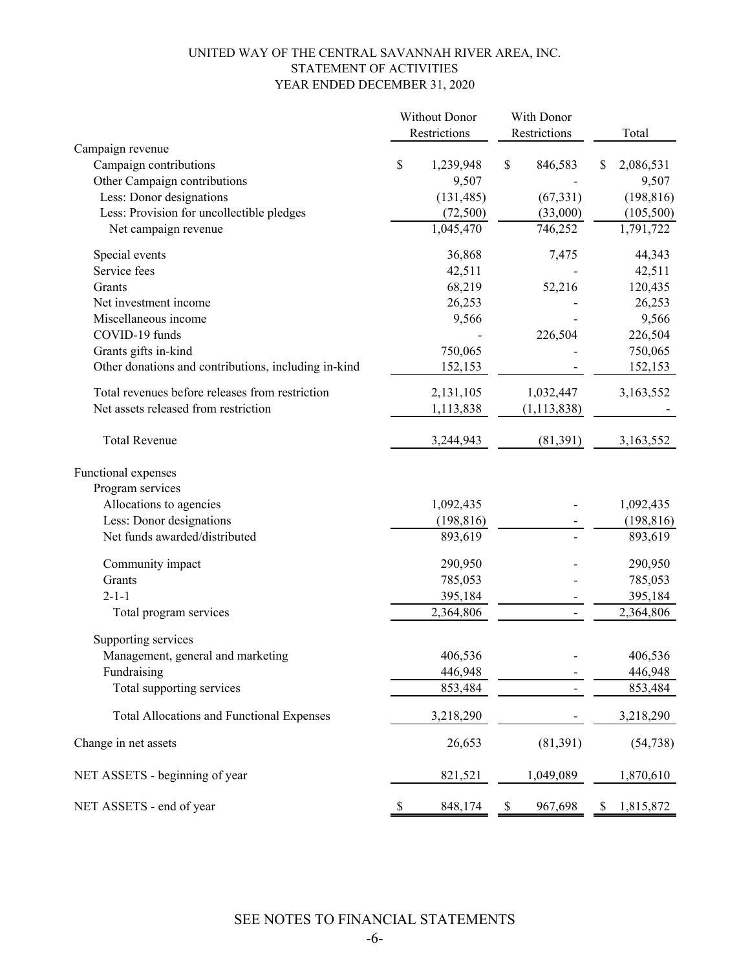#### UNITED WAY OF THE CENTRAL SAVANNAH RIVER AREA, INC. STATEMENT OF ACTIVITIES YEAR ENDED DECEMBER 31, 2020

|                                                      |      | <b>Without Donor</b> | With Donor                   |    |            |
|------------------------------------------------------|------|----------------------|------------------------------|----|------------|
|                                                      |      | Restrictions         | Restrictions                 |    | Total      |
| Campaign revenue                                     |      |                      |                              |    |            |
| Campaign contributions                               | \$   | 1,239,948            | \$<br>846,583                | \$ | 2,086,531  |
| Other Campaign contributions                         |      | 9,507                |                              |    | 9,507      |
| Less: Donor designations                             |      | (131, 485)           | (67, 331)                    |    | (198, 816) |
| Less: Provision for uncollectible pledges            |      | (72,500)             | (33,000)                     |    | (105, 500) |
| Net campaign revenue                                 |      | 1,045,470            | 746,252                      |    | 1,791,722  |
| Special events                                       |      | 36,868               | 7,475                        |    | 44,343     |
| Service fees                                         |      | 42,511               |                              |    | 42,511     |
| Grants                                               |      | 68,219               | 52,216                       |    | 120,435    |
| Net investment income                                |      | 26,253               |                              |    | 26,253     |
| Miscellaneous income                                 |      | 9,566                |                              |    | 9,566      |
| COVID-19 funds                                       |      |                      | 226,504                      |    | 226,504    |
| Grants gifts in-kind                                 |      | 750,065              |                              |    | 750,065    |
| Other donations and contributions, including in-kind |      | 152,153              |                              |    | 152,153    |
| Total revenues before releases from restriction      |      | 2,131,105            | 1,032,447                    |    | 3,163,552  |
| Net assets released from restriction                 |      | 1,113,838            | (1, 113, 838)                |    |            |
|                                                      |      |                      |                              |    |            |
| <b>Total Revenue</b>                                 |      | 3,244,943            | (81,391)                     |    | 3,163,552  |
| Functional expenses                                  |      |                      |                              |    |            |
| Program services                                     |      |                      |                              |    |            |
| Allocations to agencies                              |      | 1,092,435            |                              |    | 1,092,435  |
| Less: Donor designations                             |      | (198, 816)           |                              |    | (198, 816) |
| Net funds awarded/distributed                        |      | 893,619              |                              |    | 893,619    |
| Community impact                                     |      | 290,950              |                              |    | 290,950    |
| Grants                                               |      | 785,053              |                              |    | 785,053    |
| $2 - 1 - 1$                                          |      | 395,184              |                              |    | 395,184    |
| Total program services                               |      | 2,364,806            | $\qquad \qquad \blacksquare$ |    | 2,364,806  |
| Supporting services                                  |      |                      |                              |    |            |
| Management, general and marketing                    |      | 406,536              |                              |    | 406,536    |
| Fundraising                                          |      | 446,948              |                              |    | 446,948    |
| Total supporting services                            |      | 853,484              |                              |    | 853,484    |
| <b>Total Allocations and Functional Expenses</b>     |      | 3,218,290            |                              |    | 3,218,290  |
| Change in net assets                                 |      | 26,653               | (81, 391)                    |    | (54, 738)  |
| NET ASSETS - beginning of year                       |      | 821,521              | 1,049,089                    |    | 1,870,610  |
| NET ASSETS - end of year                             | $\$$ | 848,174              | \$<br>967,698                | S. | 1,815,872  |

SEE NOTES TO FINANCIAL STATEMENTS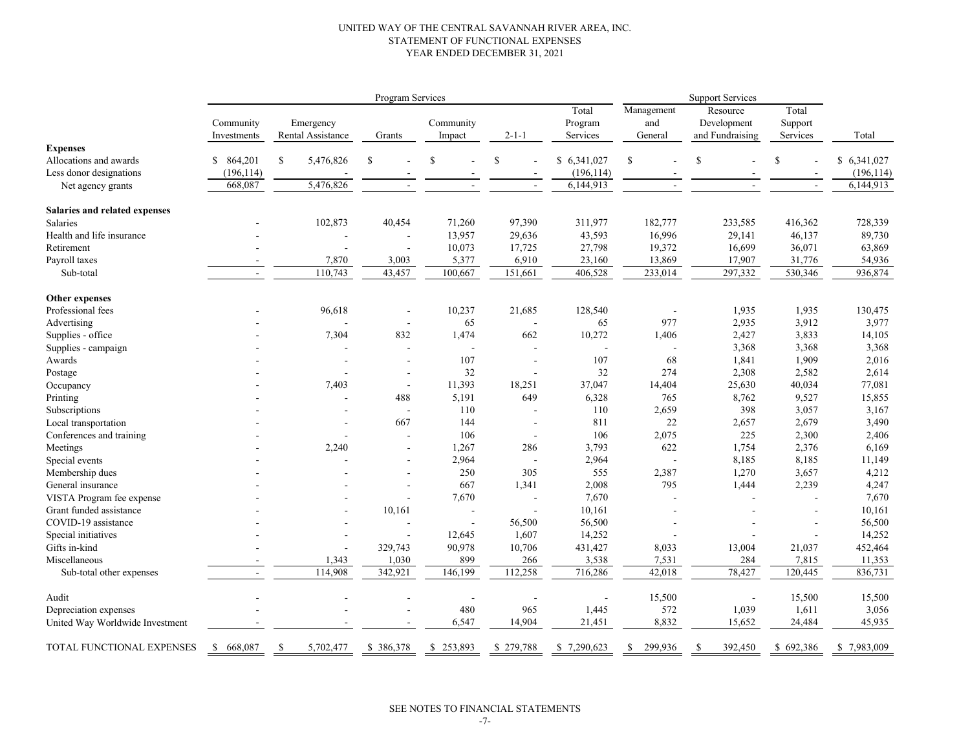#### UNITED WAY OF THE CENTRAL SAVANNAH RIVER AREA, INC. STATEMENT OF FUNCTIONAL EXPENSES YEAR ENDED DECEMBER 31, 2021

|                                 |                          |               |                                | Program Services         |                          |             |                              | <b>Support Services</b>      |                                            |                              |             |
|---------------------------------|--------------------------|---------------|--------------------------------|--------------------------|--------------------------|-------------|------------------------------|------------------------------|--------------------------------------------|------------------------------|-------------|
|                                 | Community<br>Investments |               | Emergency<br>Rental Assistance | Grants                   | Community<br>Impact      | $2 - 1 - 1$ | Total<br>Program<br>Services | Management<br>and<br>General | Resource<br>Development<br>and Fundraising | Total<br>Support<br>Services | Total       |
| <b>Expenses</b>                 |                          |               |                                |                          |                          |             |                              |                              |                                            |                              |             |
| Allocations and awards          | \$ 864,201               | <sup>\$</sup> | 5,476,826                      | <sup>\$</sup>            | \$                       | $\mathbf S$ | \$6,341,027                  | $\mathbf S$                  | \$                                         | \$                           | \$6,341,027 |
| Less donor designations         | (196, 114)               |               |                                |                          |                          |             | (196, 114)                   |                              |                                            |                              | (196, 114)  |
| Net agency grants               | 668,087                  |               | 5,476,826                      |                          |                          | $\sim$      | 6,144,913                    | ÷.                           | $\overline{a}$                             | $\sim$                       | 6,144,913   |
| Salaries and related expenses   |                          |               |                                |                          |                          |             |                              |                              |                                            |                              |             |
| Salaries                        |                          |               | 102,873                        | 40,454                   | 71,260                   | 97,390      | 311,977                      | 182,777                      | 233,585                                    | 416,362                      | 728,339     |
| Health and life insurance       |                          |               |                                |                          | 13,957                   | 29,636      | 43,593                       | 16,996                       | 29,141                                     | 46,137                       | 89,730      |
| Retirement                      |                          |               |                                |                          | 10,073                   | 17,725      | 27,798                       | 19,372                       | 16,699                                     | 36,071                       | 63,869      |
| Payroll taxes                   | $\overline{a}$           |               | 7,870                          | 3,003                    | 5,377                    | 6,910       | 23,160                       | 13,869                       | 17,907                                     | 31,776                       | 54,936      |
| Sub-total                       | $\sim$                   |               | 110,743                        | 43,457                   | 100,667                  | 151,661     | 406,528                      | 233,014                      | 297,332                                    | 530,346                      | 936,874     |
| Other expenses                  |                          |               |                                |                          |                          |             |                              |                              |                                            |                              |             |
| Professional fees               |                          |               | 96,618                         |                          | 10,237                   | 21,685      | 128,540                      |                              | 1,935                                      | 1,935                        | 130,475     |
| Advertising                     |                          |               |                                | $\overline{\phantom{a}}$ | 65                       | ÷,          | 65                           | 977                          | 2,935                                      | 3,912                        | 3,977       |
| Supplies - office               |                          |               | 7,304                          | 832                      | 1,474                    | 662         | 10,272                       | 1,406                        | 2,427                                      | 3,833                        | 14,105      |
| Supplies - campaign             |                          |               |                                | ÷,                       | $\overline{\phantom{a}}$ | ä,          |                              |                              | 3,368                                      | 3,368                        | 3,368       |
| Awards                          |                          |               |                                | $\overline{\phantom{a}}$ | 107                      | Ĭ.          | 107                          | 68                           | 1,841                                      | 1,909                        | 2,016       |
| Postage                         |                          |               |                                | ÷,                       | 32                       | Ĭ.          | 32                           | 274                          | 2,308                                      | 2,582                        | 2,614       |
| Occupancy                       |                          |               | 7,403                          | $\overline{\phantom{a}}$ | 11,393                   | 18,251      | 37,047                       | 14,404                       | 25,630                                     | 40,034                       | 77,081      |
| Printing                        |                          |               | ÷                              | 488                      | 5,191                    | 649         | 6,328                        | 765                          | 8,762                                      | 9,527                        | 15,855      |
| Subscriptions                   |                          |               |                                |                          | 110                      | ÷,          | 110                          | 2,659                        | 398                                        | 3,057                        | 3,167       |
| Local transportation            |                          |               |                                | 667                      | 144                      | $\sim$      | 811                          | 22                           | 2,657                                      | 2,679                        | 3,490       |
| Conferences and training        |                          |               |                                |                          | 106                      | $\sim$      | 106                          | 2,075                        | 225                                        | 2,300                        | 2,406       |
| Meetings                        |                          |               | 2,240                          |                          | 1,267                    | 286         | 3,793                        | 622                          | 1,754                                      | 2,376                        | 6,169       |
| Special events                  |                          |               |                                |                          | 2,964                    | $\sim$      | 2,964                        |                              | 8,185                                      | 8,185                        | 11,149      |
| Membership dues                 |                          |               |                                |                          | 250                      | 305         | 555                          | 2,387                        | 1,270                                      | 3,657                        | 4,212       |
| General insurance               |                          |               |                                |                          | 667                      | 1,341       | 2,008                        | 795                          | 1,444                                      | 2,239                        | 4,247       |
| VISTA Program fee expense       |                          |               |                                |                          | 7,670                    | ÷,          | 7,670                        |                              |                                            |                              | 7,670       |
| Grant funded assistance         |                          |               |                                | 10,161                   |                          | L,          | 10,161                       |                              |                                            |                              | 10,161      |
| COVID-19 assistance             |                          |               |                                |                          | $\overline{\phantom{a}}$ | 56,500      | 56,500                       |                              |                                            |                              | 56,500      |
| Special initiatives             |                          |               |                                |                          | 12,645                   | 1,607       | 14,252                       |                              |                                            |                              | 14,252      |
| Gifts in-kind                   |                          |               |                                | 329,743                  | 90,978                   | 10,706      | 431,427                      | 8,033                        | 13,004                                     | 21,037                       | 452,464     |
| Miscellaneous                   |                          |               | 1,343                          | 1,030                    | 899                      | 266         | 3,538                        | 7,531                        | 284                                        | 7,815                        | 11,353      |
| Sub-total other expenses        | $\sim$                   |               | 114,908                        | 342,921                  | 146,199                  | 112,258     | 716,286                      | 42,018                       | 78,427                                     | 120,445                      | 836,731     |
| Audit                           |                          |               |                                |                          | $\overline{\phantom{a}}$ |             |                              | 15,500                       |                                            | 15,500                       | 15,500      |
| Depreciation expenses           |                          |               |                                |                          | 480                      | 965         | 1,445                        | 572                          | 1,039                                      | 1,611                        | 3,056       |
| United Way Worldwide Investment |                          |               |                                |                          | 6,547                    | 14,904      | 21,451                       | 8,832                        | 15,652                                     | 24,484                       | 45,935      |
| TOTAL FUNCTIONAL EXPENSES       | \$668,087                | <sup>\$</sup> | 5,702,477                      | \$386,378                | \$253,893                | \$279,788   | \$7,290,623                  | $\mathbb{S}$<br>299,936      | 392,450<br><sup>\$</sup>                   | \$692,386                    | \$7,983,009 |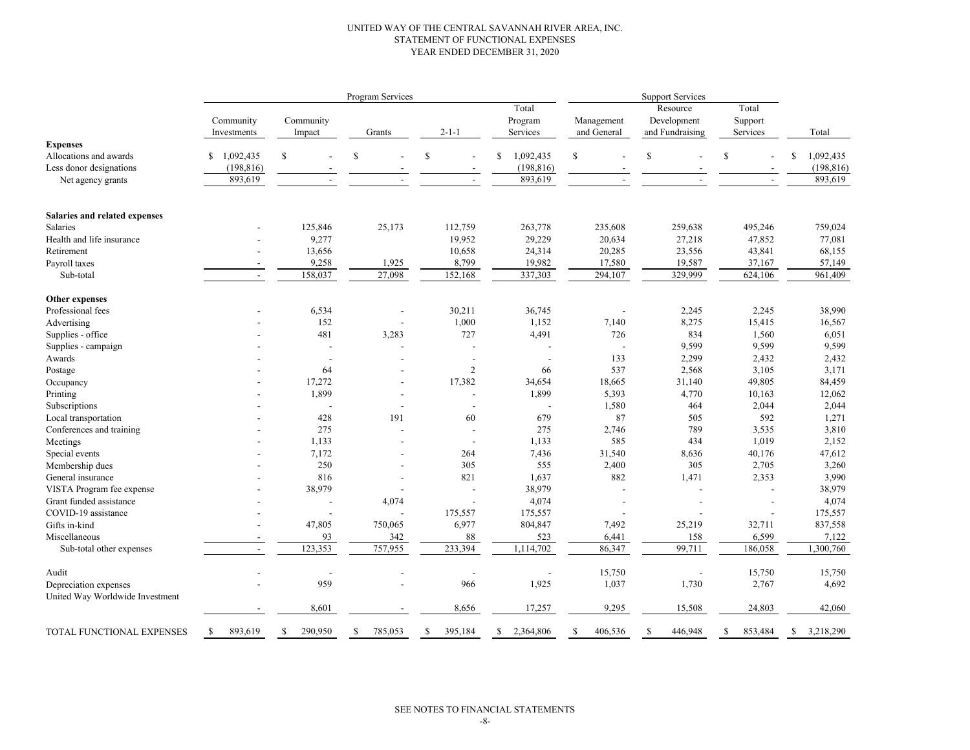#### UNITED WAY OF THE CENTRAL SAVANNAH RIVER AREA, INC. STATEMENT OF FUNCTIONAL EXPENSES YEAR ENDED DECEMBER 31, 2020

|                                 |                          |                          | Program Services |                          |                 | <b>Support Services</b> |                 |                |                 |  |
|---------------------------------|--------------------------|--------------------------|------------------|--------------------------|-----------------|-------------------------|-----------------|----------------|-----------------|--|
|                                 |                          |                          |                  |                          | Total           |                         | Resource        | Total          |                 |  |
|                                 | Community                | Community                |                  |                          | Program         | Management              | Development     | Support        |                 |  |
|                                 | Investments              | Impact                   | Grants           | $2 - 1 - 1$              | Services        | and General             | and Fundraising | Services       | Total           |  |
| <b>Expenses</b>                 |                          |                          |                  |                          |                 |                         |                 |                |                 |  |
| Allocations and awards          | 1,092,435<br>S           | $\mathbb{S}$             | \$               | $\mathbb{S}$             | 1,092,435<br>\$ | \$                      | \$              | S              | 1,092,435<br>S  |  |
| Less donor designations         | (198, 816)               |                          |                  |                          | (198, 816)      |                         |                 |                | (198, 816)      |  |
| Net agency grants               | 893,619                  |                          |                  |                          | 893,619         |                         |                 |                | 893,619         |  |
|                                 |                          |                          |                  |                          |                 |                         |                 |                |                 |  |
| Salaries and related expenses   |                          |                          |                  |                          |                 |                         |                 |                |                 |  |
| Salaries                        |                          | 125,846                  | 25,173           | 112,759                  | 263,778         | 235,608                 | 259,638         | 495,246        | 759,024         |  |
| Health and life insurance       |                          | 9,277                    |                  | 19,952                   | 29,229          | 20,634                  | 27,218          | 47,852         | 77,081          |  |
| Retirement                      |                          | 13,656                   |                  | 10,658                   | 24,314          | 20,285                  | 23,556          | 43,841         | 68,155          |  |
| Payroll taxes                   |                          | 9,258                    | 1,925            | 8,799                    | 19,982          | 17,580                  | 19,587          | 37,167         | 57,149          |  |
| Sub-total                       | $\overline{\phantom{a}}$ | 158,037                  | 27,098           | 152,168                  | 337,303         | 294,107                 | 329,999         | 624,106        | 961,409         |  |
| Other expenses                  |                          |                          |                  |                          |                 |                         |                 |                |                 |  |
| Professional fees               |                          | 6,534                    |                  | 30,211                   | 36,745          |                         | 2,245           | 2,245          | 38,990          |  |
| Advertising                     |                          | 152                      |                  | 1,000                    | 1,152           | 7,140                   | 8,275           | 15,415         | 16,567          |  |
| Supplies - office               |                          | 481                      | 3,283            | 727                      | 4,491           | 726                     | 834             | 1,560          | 6,051           |  |
| Supplies - campaign             |                          | $\overline{\phantom{a}}$ |                  |                          |                 |                         | 9,599           | 9,599          | 9,599           |  |
| Awards                          |                          | L,                       |                  |                          |                 | 133                     | 2,299           | 2,432          | 2,432           |  |
| Postage                         |                          | 64                       |                  | $\overline{2}$           | 66              | 537                     | 2,568           | 3,105          | 3,171           |  |
| Occupancy                       |                          | 17,272                   |                  | 17,382                   | 34,654          | 18,665                  | 31,140          | 49,805         | 84,459          |  |
| Printing                        |                          | 1,899                    |                  |                          | 1,899           | 5,393                   | 4,770           | 10,163         | 12,062          |  |
| Subscriptions                   |                          |                          |                  |                          |                 | 1,580                   | 464             | 2,044          | 2,044           |  |
| Local transportation            |                          | 428                      | 191              | 60                       | 679             | 87                      | 505             | 592            | 1,271           |  |
| Conferences and training        |                          | 275                      |                  |                          | 275             | 2,746                   | 789             | 3,535          | 3,810           |  |
| Meetings                        |                          | 1,133                    |                  | $\overline{\phantom{a}}$ | 1,133           | 585                     | 434             | 1,019          | 2,152           |  |
| Special events                  |                          | 7,172                    |                  | 264                      | 7,436           | 31,540                  | 8,636           | 40,176         | 47,612          |  |
| Membership dues                 |                          | 250                      |                  | 305                      | 555             | 2,400                   | 305             | 2,705          | 3,260           |  |
| General insurance               |                          | 816                      |                  | 821                      | 1,637           | 882                     | 1,471           | 2,353          | 3,990           |  |
| VISTA Program fee expense       |                          | 38,979                   |                  |                          | 38,979          |                         |                 | $\overline{a}$ | 38,979          |  |
| Grant funded assistance         |                          |                          | 4,074            |                          | 4,074           |                         |                 |                | 4,074           |  |
| COVID-19 assistance             |                          |                          |                  | 175,557                  | 175,557         |                         |                 | $\overline{a}$ | 175,557         |  |
| Gifts in-kind                   |                          | 47,805                   | 750,065          | 6,977                    | 804,847         | 7,492                   | 25,219          | 32,711         | 837,558         |  |
| Miscellaneous                   |                          | 93                       | 342              | 88                       | 523             | 6,441                   | 158             | 6,599          | 7,122           |  |
| Sub-total other expenses        | $\overline{\phantom{a}}$ | 123,353                  | 757,955          | 233,394                  | 1,114,702       | 86,347                  | 99,711          | 186,058        | 1,300,760       |  |
| Audit                           |                          |                          |                  |                          |                 | 15,750                  |                 | 15,750         | 15,750          |  |
| Depreciation expenses           |                          | 959                      |                  | 966                      | 1,925           | 1,037                   | 1,730           | 2,767          | 4,692           |  |
| United Way Worldwide Investment |                          |                          |                  |                          |                 |                         |                 |                |                 |  |
|                                 |                          | 8,601                    |                  | 8,656                    | 17,257          | 9,295                   | 15,508          | 24,803         | 42,060          |  |
| TOTAL FUNCTIONAL EXPENSES       | 893,619<br><sup>\$</sup> | 290,950<br><sup>\$</sup> | 785,053<br>S     | \$<br>395,184            | 2,364,806<br>S. | 406,536<br>S            | 446,948<br>S.   | S<br>853,484   | 3,218,290<br>-S |  |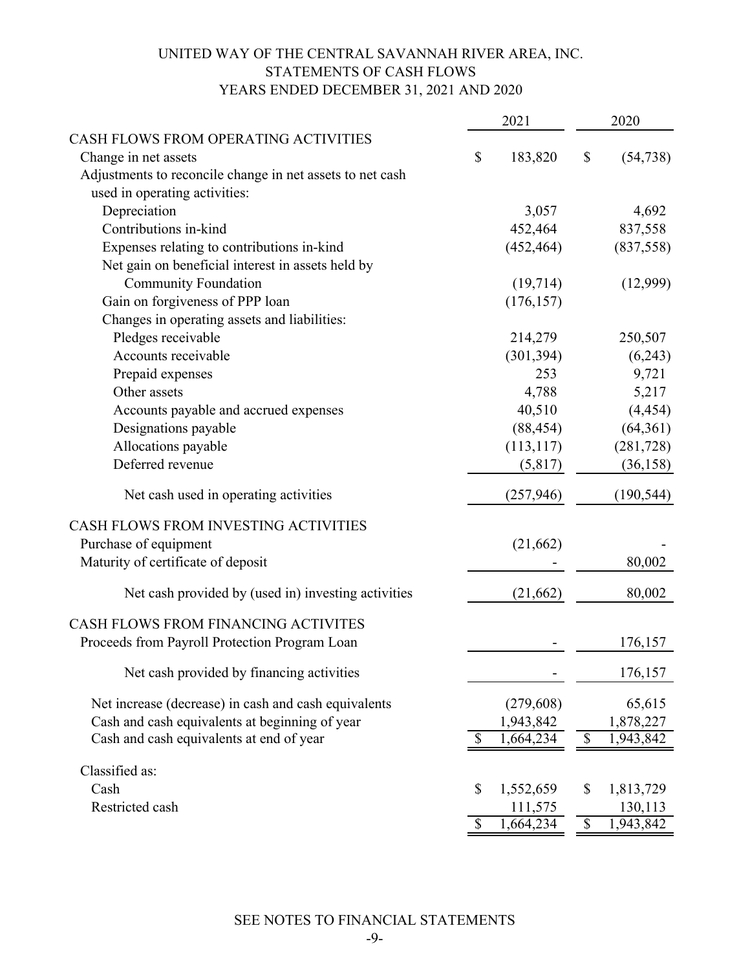# UNITED WAY OF THE CENTRAL SAVANNAH RIVER AREA, INC. STATEMENTS OF CASH FLOWS YEARS ENDED DECEMBER 31, 2021 AND 2020

|                                                           | 2021          |            |                          | 2020       |
|-----------------------------------------------------------|---------------|------------|--------------------------|------------|
| CASH FLOWS FROM OPERATING ACTIVITIES                      |               |            |                          |            |
| Change in net assets                                      | \$            | 183,820    | \$                       | (54, 738)  |
| Adjustments to reconcile change in net assets to net cash |               |            |                          |            |
| used in operating activities:                             |               |            |                          |            |
| Depreciation                                              |               | 3,057      |                          | 4,692      |
| Contributions in-kind                                     |               | 452,464    |                          | 837,558    |
| Expenses relating to contributions in-kind                |               | (452, 464) |                          | (837, 558) |
| Net gain on beneficial interest in assets held by         |               |            |                          |            |
| <b>Community Foundation</b>                               |               | (19, 714)  |                          | (12,999)   |
| Gain on forgiveness of PPP loan                           |               | (176, 157) |                          |            |
| Changes in operating assets and liabilities:              |               |            |                          |            |
| Pledges receivable                                        |               | 214,279    |                          | 250,507    |
| Accounts receivable                                       |               | (301, 394) |                          | (6,243)    |
| Prepaid expenses                                          |               | 253        |                          | 9,721      |
| Other assets                                              |               | 4,788      |                          | 5,217      |
| Accounts payable and accrued expenses                     |               | 40,510     |                          | (4, 454)   |
| Designations payable                                      |               | (88, 454)  |                          | (64,361)   |
| Allocations payable                                       |               | (113, 117) |                          | (281, 728) |
| Deferred revenue                                          |               | (5,817)    |                          | (36, 158)  |
| Net cash used in operating activities                     |               | (257, 946) |                          | (190, 544) |
| CASH FLOWS FROM INVESTING ACTIVITIES                      |               |            |                          |            |
| Purchase of equipment                                     |               | (21, 662)  |                          |            |
| Maturity of certificate of deposit                        |               |            |                          | 80,002     |
| Net cash provided by (used in) investing activities       |               | (21,662)   |                          | 80,002     |
| CASH FLOWS FROM FINANCING ACTIVITES                       |               |            |                          |            |
| Proceeds from Payroll Protection Program Loan             |               |            |                          | 176,157    |
| Net cash provided by financing activities                 |               |            |                          | 176,157    |
| Net increase (decrease) in cash and cash equivalents      |               | (279, 608) |                          | 65,615     |
| Cash and cash equivalents at beginning of year            |               | 1,943,842  |                          | 1,878,227  |
| Cash and cash equivalents at end of year                  | \$            | 1,664,234  | $\$$                     | 1,943,842  |
| Classified as:                                            |               |            |                          |            |
| Cash                                                      | \$            | 1,552,659  | \$                       | 1,813,729  |
| Restricted cash                                           |               | 111,575    |                          | 130,113    |
|                                                           | $\mathcal{S}$ | 1,664,234  | $\overline{\mathcal{S}}$ | 1,943,842  |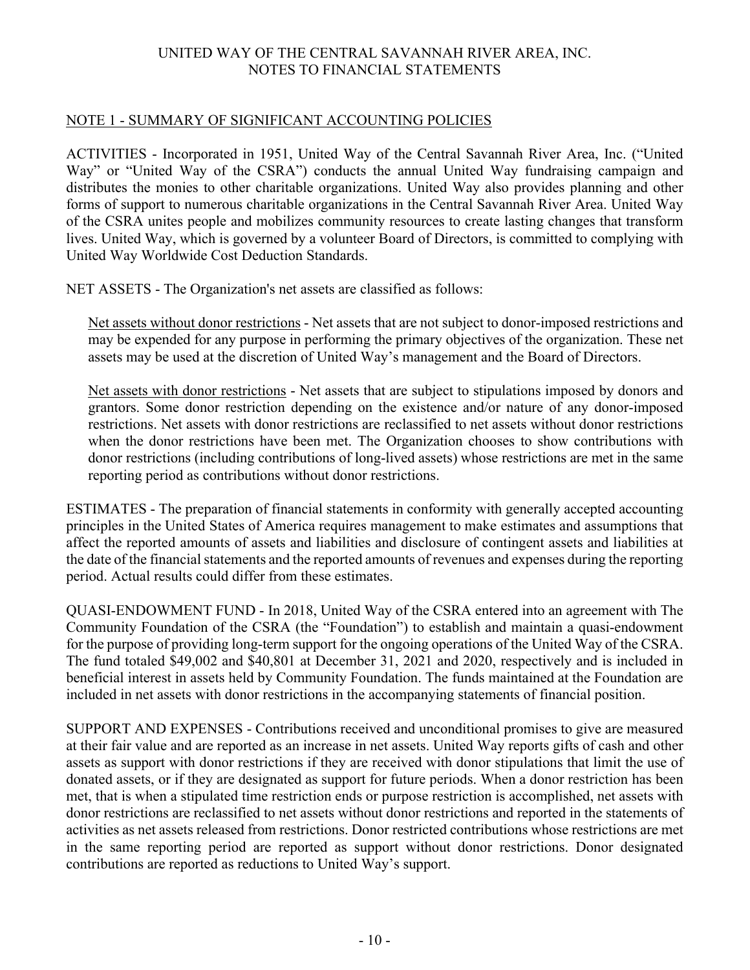### NOTE 1 - SUMMARY OF SIGNIFICANT ACCOUNTING POLICIES

ACTIVITIES - Incorporated in 1951, United Way of the Central Savannah River Area, Inc. ("United Way" or "United Way of the CSRA") conducts the annual United Way fundraising campaign and distributes the monies to other charitable organizations. United Way also provides planning and other forms of support to numerous charitable organizations in the Central Savannah River Area. United Way of the CSRA unites people and mobilizes community resources to create lasting changes that transform lives. United Way, which is governed by a volunteer Board of Directors, is committed to complying with United Way Worldwide Cost Deduction Standards.

NET ASSETS - The Organization's net assets are classified as follows:

Net assets without donor restrictions - Net assets that are not subject to donor-imposed restrictions and may be expended for any purpose in performing the primary objectives of the organization. These net assets may be used at the discretion of United Way's management and the Board of Directors.

Net assets with donor restrictions - Net assets that are subject to stipulations imposed by donors and grantors. Some donor restriction depending on the existence and/or nature of any donor-imposed restrictions. Net assets with donor restrictions are reclassified to net assets without donor restrictions when the donor restrictions have been met. The Organization chooses to show contributions with donor restrictions (including contributions of long-lived assets) whose restrictions are met in the same reporting period as contributions without donor restrictions.

ESTIMATES - The preparation of financial statements in conformity with generally accepted accounting principles in the United States of America requires management to make estimates and assumptions that affect the reported amounts of assets and liabilities and disclosure of contingent assets and liabilities at the date of the financial statements and the reported amounts of revenues and expenses during the reporting period. Actual results could differ from these estimates.

QUASI-ENDOWMENT FUND - In 2018, United Way of the CSRA entered into an agreement with The Community Foundation of the CSRA (the "Foundation") to establish and maintain a quasi-endowment for the purpose of providing long-term support for the ongoing operations of the United Way of the CSRA. The fund totaled \$49,002 and \$40,801 at December 31, 2021 and 2020, respectively and is included in beneficial interest in assets held by Community Foundation. The funds maintained at the Foundation are included in net assets with donor restrictions in the accompanying statements of financial position.

SUPPORT AND EXPENSES - Contributions received and unconditional promises to give are measured at their fair value and are reported as an increase in net assets. United Way reports gifts of cash and other assets as support with donor restrictions if they are received with donor stipulations that limit the use of donated assets, or if they are designated as support for future periods. When a donor restriction has been met, that is when a stipulated time restriction ends or purpose restriction is accomplished, net assets with donor restrictions are reclassified to net assets without donor restrictions and reported in the statements of activities as net assets released from restrictions. Donor restricted contributions whose restrictions are met in the same reporting period are reported as support without donor restrictions. Donor designated contributions are reported as reductions to United Way's support.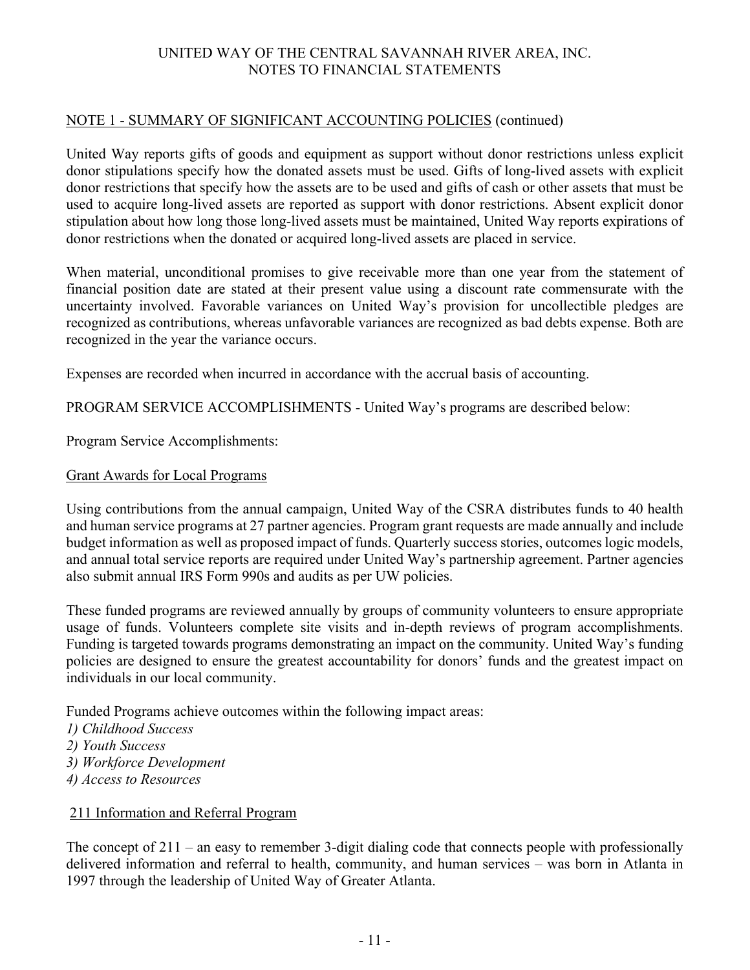### NOTE 1 - SUMMARY OF SIGNIFICANT ACCOUNTING POLICIES (continued)

United Way reports gifts of goods and equipment as support without donor restrictions unless explicit donor stipulations specify how the donated assets must be used. Gifts of long-lived assets with explicit donor restrictions that specify how the assets are to be used and gifts of cash or other assets that must be used to acquire long-lived assets are reported as support with donor restrictions. Absent explicit donor stipulation about how long those long-lived assets must be maintained, United Way reports expirations of donor restrictions when the donated or acquired long-lived assets are placed in service.

When material, unconditional promises to give receivable more than one year from the statement of financial position date are stated at their present value using a discount rate commensurate with the uncertainty involved. Favorable variances on United Way's provision for uncollectible pledges are recognized as contributions, whereas unfavorable variances are recognized as bad debts expense. Both are recognized in the year the variance occurs.

Expenses are recorded when incurred in accordance with the accrual basis of accounting.

PROGRAM SERVICE ACCOMPLISHMENTS - United Way's programs are described below:

Program Service Accomplishments:

### Grant Awards for Local Programs

Using contributions from the annual campaign, United Way of the CSRA distributes funds to 40 health and human service programs at 27 partner agencies. Program grant requests are made annually and include budget information as well as proposed impact of funds. Quarterly success stories, outcomes logic models, and annual total service reports are required under United Way's partnership agreement. Partner agencies also submit annual IRS Form 990s and audits as per UW policies.

These funded programs are reviewed annually by groups of community volunteers to ensure appropriate usage of funds. Volunteers complete site visits and in-depth reviews of program accomplishments. Funding is targeted towards programs demonstrating an impact on the community. United Way's funding policies are designed to ensure the greatest accountability for donors' funds and the greatest impact on individuals in our local community.

Funded Programs achieve outcomes within the following impact areas:

- *1) Childhood Success*
- *2) Youth Success*
- *3) Workforce Development*
- *4) Access to Resources*

### 211 Information and Referral Program

The concept of 211 – an easy to remember 3-digit dialing code that connects people with professionally delivered information and referral to health, community, and human services – was born in Atlanta in 1997 through the leadership of United Way of Greater Atlanta.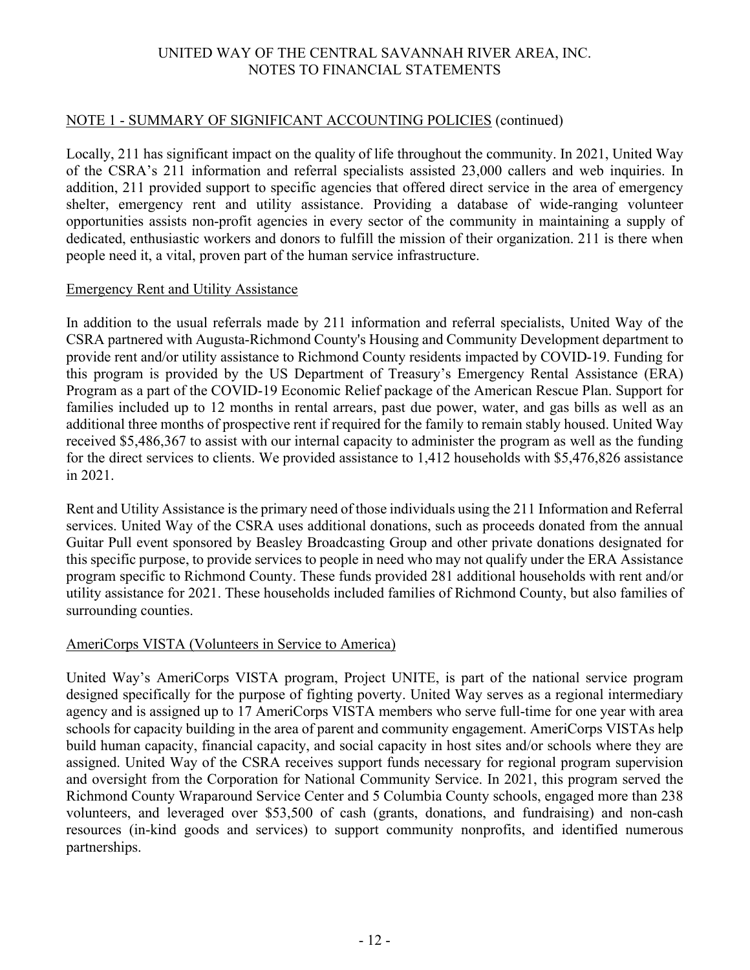### NOTE 1 - SUMMARY OF SIGNIFICANT ACCOUNTING POLICIES (continued)

Locally, 211 has significant impact on the quality of life throughout the community. In 2021, United Way of the CSRA's 211 information and referral specialists assisted 23,000 callers and web inquiries. In addition, 211 provided support to specific agencies that offered direct service in the area of emergency shelter, emergency rent and utility assistance. Providing a database of wide-ranging volunteer opportunities assists non-profit agencies in every sector of the community in maintaining a supply of dedicated, enthusiastic workers and donors to fulfill the mission of their organization. 211 is there when people need it, a vital, proven part of the human service infrastructure.

### Emergency Rent and Utility Assistance

In addition to the usual referrals made by 211 information and referral specialists, United Way of the CSRA partnered with Augusta-Richmond County's Housing and Community Development department to provide rent and/or utility assistance to Richmond County residents impacted by COVID-19. Funding for this program is provided by the US Department of Treasury's Emergency Rental Assistance (ERA) Program as a part of the COVID-19 Economic Relief package of the American Rescue Plan. Support for families included up to 12 months in rental arrears, past due power, water, and gas bills as well as an additional three months of prospective rent if required for the family to remain stably housed. United Way received \$5,486,367 to assist with our internal capacity to administer the program as well as the funding for the direct services to clients. We provided assistance to 1,412 households with \$5,476,826 assistance in 2021.

Rent and Utility Assistance is the primary need of those individuals using the 211 Information and Referral services. United Way of the CSRA uses additional donations, such as proceeds donated from the annual Guitar Pull event sponsored by Beasley Broadcasting Group and other private donations designated for this specific purpose, to provide services to people in need who may not qualify under the ERA Assistance program specific to Richmond County. These funds provided 281 additional households with rent and/or utility assistance for 2021. These households included families of Richmond County, but also families of surrounding counties.

### AmeriCorps VISTA (Volunteers in Service to America)

United Way's AmeriCorps VISTA program, Project UNITE, is part of the national service program designed specifically for the purpose of fighting poverty. United Way serves as a regional intermediary agency and is assigned up to 17 AmeriCorps VISTA members who serve full-time for one year with area schools for capacity building in the area of parent and community engagement. AmeriCorps VISTAs help build human capacity, financial capacity, and social capacity in host sites and/or schools where they are assigned. United Way of the CSRA receives support funds necessary for regional program supervision and oversight from the Corporation for National Community Service. In 2021, this program served the Richmond County Wraparound Service Center and 5 Columbia County schools, engaged more than 238 volunteers, and leveraged over \$53,500 of cash (grants, donations, and fundraising) and non-cash resources (in-kind goods and services) to support community nonprofits, and identified numerous partnerships.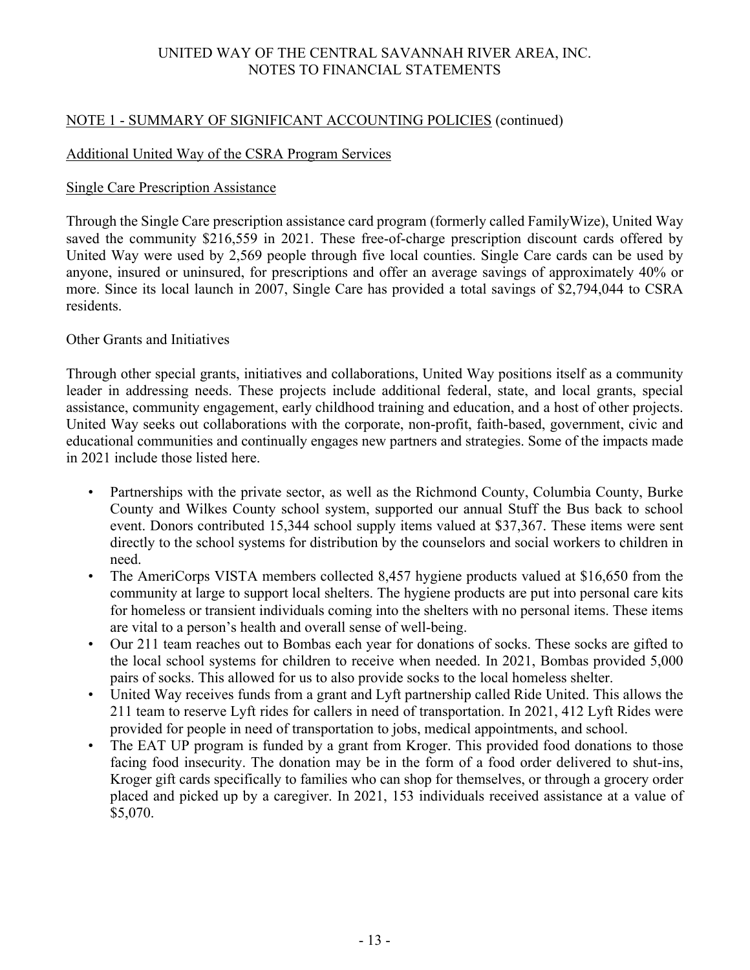## NOTE 1 - SUMMARY OF SIGNIFICANT ACCOUNTING POLICIES (continued)

## Additional United Way of the CSRA Program Services

### Single Care Prescription Assistance

Through the Single Care prescription assistance card program (formerly called FamilyWize), United Way saved the community \$216,559 in 2021. These free-of-charge prescription discount cards offered by United Way were used by 2,569 people through five local counties. Single Care cards can be used by anyone, insured or uninsured, for prescriptions and offer an average savings of approximately 40% or more. Since its local launch in 2007, Single Care has provided a total savings of \$2,794,044 to CSRA residents.

## Other Grants and Initiatives

Through other special grants, initiatives and collaborations, United Way positions itself as a community leader in addressing needs. These projects include additional federal, state, and local grants, special assistance, community engagement, early childhood training and education, and a host of other projects. United Way seeks out collaborations with the corporate, non-profit, faith-based, government, civic and educational communities and continually engages new partners and strategies. Some of the impacts made in 2021 include those listed here.

- Partnerships with the private sector, as well as the Richmond County, Columbia County, Burke County and Wilkes County school system, supported our annual Stuff the Bus back to school event. Donors contributed 15,344 school supply items valued at \$37,367. These items were sent directly to the school systems for distribution by the counselors and social workers to children in need.
- The AmeriCorps VISTA members collected 8,457 hygiene products valued at \$16,650 from the community at large to support local shelters. The hygiene products are put into personal care kits for homeless or transient individuals coming into the shelters with no personal items. These items are vital to a person's health and overall sense of well-being.
- Our 211 team reaches out to Bombas each year for donations of socks. These socks are gifted to the local school systems for children to receive when needed. In 2021, Bombas provided 5,000 pairs of socks. This allowed for us to also provide socks to the local homeless shelter.
- United Way receives funds from a grant and Lyft partnership called Ride United. This allows the 211 team to reserve Lyft rides for callers in need of transportation. In 2021, 412 Lyft Rides were provided for people in need of transportation to jobs, medical appointments, and school.
- The EAT UP program is funded by a grant from Kroger. This provided food donations to those facing food insecurity. The donation may be in the form of a food order delivered to shut-ins, Kroger gift cards specifically to families who can shop for themselves, or through a grocery order placed and picked up by a caregiver. In 2021, 153 individuals received assistance at a value of \$5,070.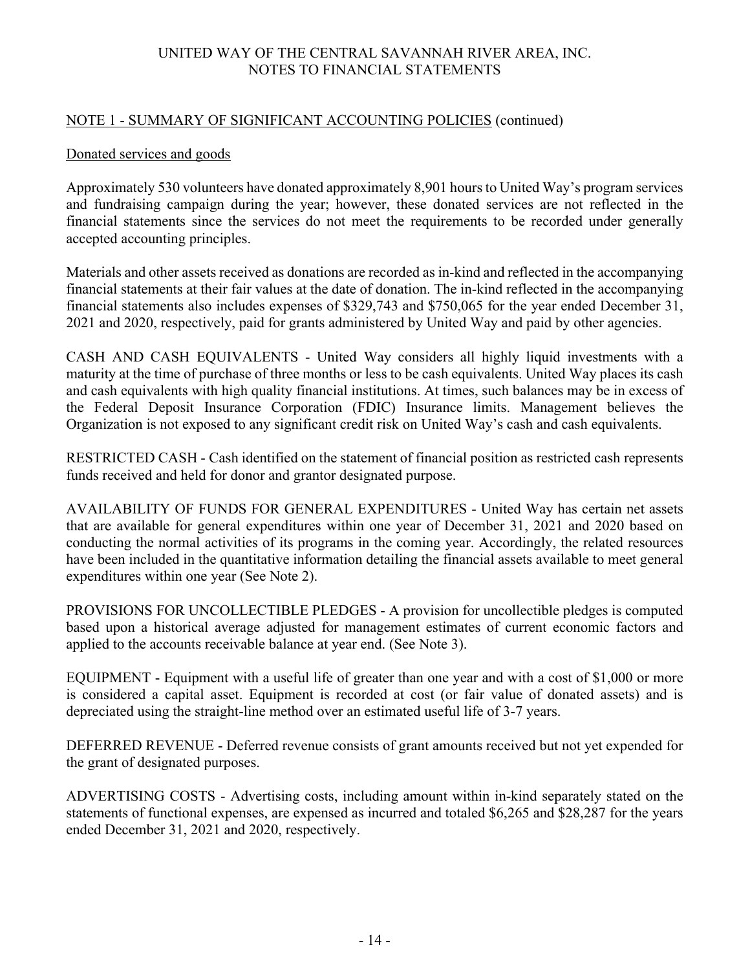### NOTE 1 - SUMMARY OF SIGNIFICANT ACCOUNTING POLICIES (continued)

### Donated services and goods

Approximately 530 volunteers have donated approximately 8,901 hours to United Way's program services and fundraising campaign during the year; however, these donated services are not reflected in the financial statements since the services do not meet the requirements to be recorded under generally accepted accounting principles.

Materials and other assets received as donations are recorded as in-kind and reflected in the accompanying financial statements at their fair values at the date of donation. The in-kind reflected in the accompanying financial statements also includes expenses of \$329,743 and \$750,065 for the year ended December 31, 2021 and 2020, respectively, paid for grants administered by United Way and paid by other agencies.

CASH AND CASH EQUIVALENTS - United Way considers all highly liquid investments with a maturity at the time of purchase of three months or less to be cash equivalents. United Way places its cash and cash equivalents with high quality financial institutions. At times, such balances may be in excess of the Federal Deposit Insurance Corporation (FDIC) Insurance limits. Management believes the Organization is not exposed to any significant credit risk on United Way's cash and cash equivalents.

RESTRICTED CASH - Cash identified on the statement of financial position as restricted cash represents funds received and held for donor and grantor designated purpose.

AVAILABILITY OF FUNDS FOR GENERAL EXPENDITURES - United Way has certain net assets that are available for general expenditures within one year of December 31, 2021 and 2020 based on conducting the normal activities of its programs in the coming year. Accordingly, the related resources have been included in the quantitative information detailing the financial assets available to meet general expenditures within one year (See Note 2).

PROVISIONS FOR UNCOLLECTIBLE PLEDGES - A provision for uncollectible pledges is computed based upon a historical average adjusted for management estimates of current economic factors and applied to the accounts receivable balance at year end. (See Note 3).

EQUIPMENT - Equipment with a useful life of greater than one year and with a cost of \$1,000 or more is considered a capital asset. Equipment is recorded at cost (or fair value of donated assets) and is depreciated using the straight-line method over an estimated useful life of 3-7 years.

DEFERRED REVENUE - Deferred revenue consists of grant amounts received but not yet expended for the grant of designated purposes.

ADVERTISING COSTS - Advertising costs, including amount within in-kind separately stated on the statements of functional expenses, are expensed as incurred and totaled \$6,265 and \$28,287 for the years ended December 31, 2021 and 2020, respectively.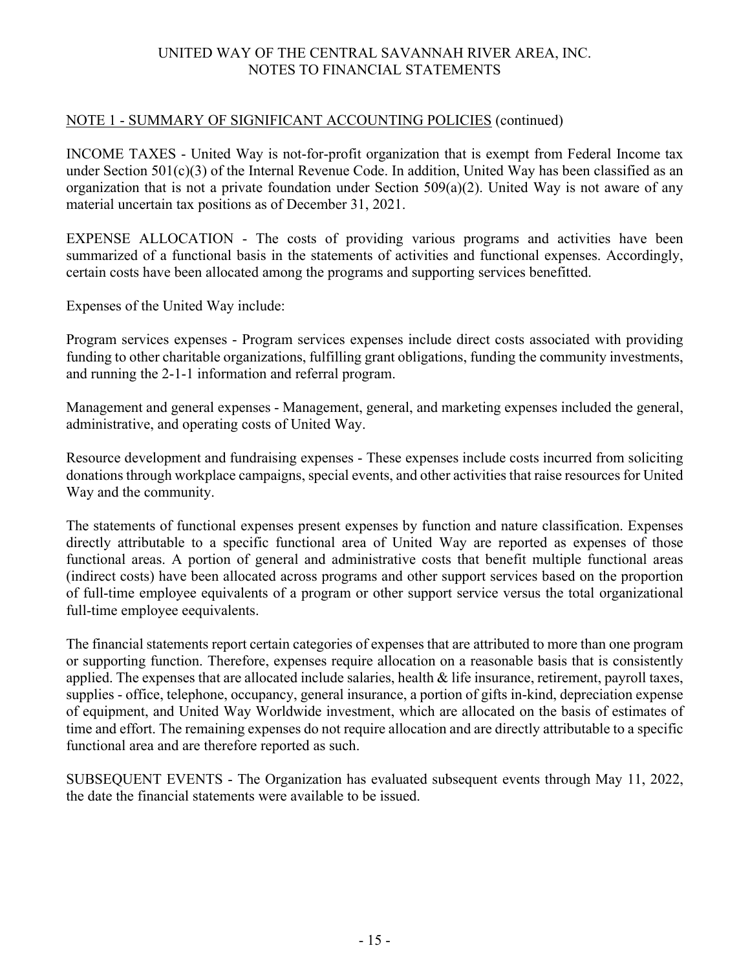### NOTE 1 - SUMMARY OF SIGNIFICANT ACCOUNTING POLICIES (continued)

INCOME TAXES - United Way is not-for-profit organization that is exempt from Federal Income tax under Section 501(c)(3) of the Internal Revenue Code. In addition, United Way has been classified as an organization that is not a private foundation under Section 509(a)(2). United Way is not aware of any material uncertain tax positions as of December 31, 2021.

EXPENSE ALLOCATION - The costs of providing various programs and activities have been summarized of a functional basis in the statements of activities and functional expenses. Accordingly, certain costs have been allocated among the programs and supporting services benefitted.

Expenses of the United Way include:

Program services expenses - Program services expenses include direct costs associated with providing funding to other charitable organizations, fulfilling grant obligations, funding the community investments, and running the 2-1-1 information and referral program.

Management and general expenses - Management, general, and marketing expenses included the general, administrative, and operating costs of United Way.

Resource development and fundraising expenses - These expenses include costs incurred from soliciting donations through workplace campaigns, special events, and other activities that raise resources for United Way and the community.

The statements of functional expenses present expenses by function and nature classification. Expenses directly attributable to a specific functional area of United Way are reported as expenses of those functional areas. A portion of general and administrative costs that benefit multiple functional areas (indirect costs) have been allocated across programs and other support services based on the proportion of full-time employee equivalents of a program or other support service versus the total organizational full-time employee eequivalents.

The financial statements report certain categories of expenses that are attributed to more than one program or supporting function. Therefore, expenses require allocation on a reasonable basis that is consistently applied. The expenses that are allocated include salaries, health & life insurance, retirement, payroll taxes, supplies - office, telephone, occupancy, general insurance, a portion of gifts in-kind, depreciation expense of equipment, and United Way Worldwide investment, which are allocated on the basis of estimates of time and effort. The remaining expenses do not require allocation and are directly attributable to a specific functional area and are therefore reported as such.

SUBSEQUENT EVENTS - The Organization has evaluated subsequent events through May 11, 2022, the date the financial statements were available to be issued.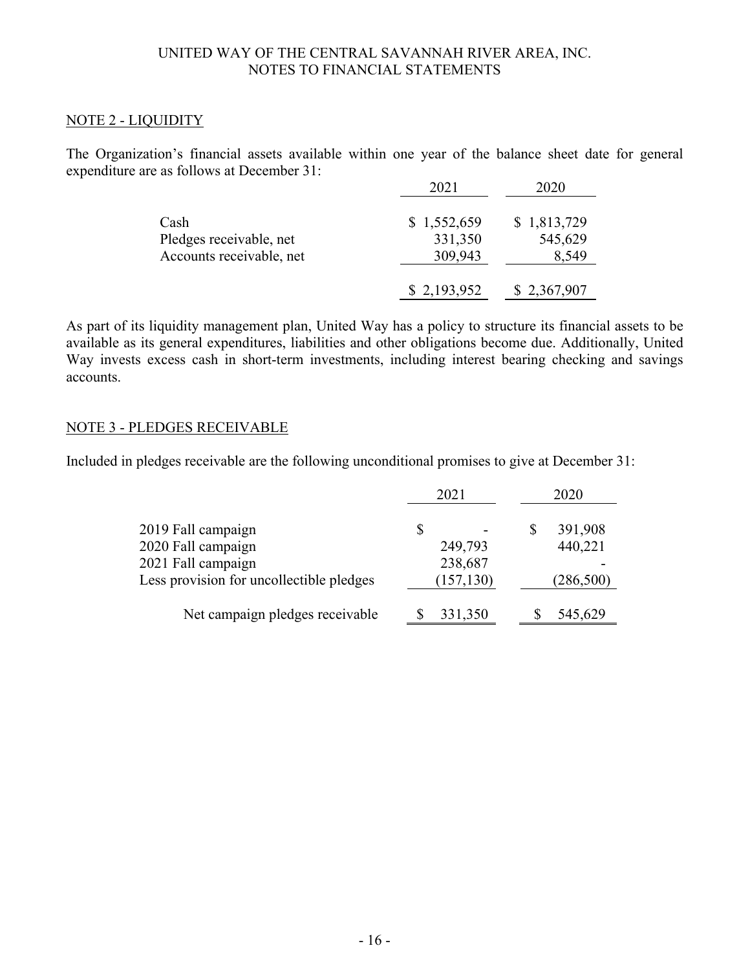### NOTE 2 - LIQUIDITY

The Organization's financial assets available within one year of the balance sheet date for general expenditure are as follows at December 31: 2021 2020

|                          | 71 F Z      | 2020        |
|--------------------------|-------------|-------------|
| Cash                     | \$1,552,659 | \$1,813,729 |
| Pledges receivable, net  | 331,350     | 545,629     |
| Accounts receivable, net | 309,943     | 8,549       |
|                          | \$2,193,952 | \$2,367,907 |

As part of its liquidity management plan, United Way has a policy to structure its financial assets to be available as its general expenditures, liabilities and other obligations become due. Additionally, United Way invests excess cash in short-term investments, including interest bearing checking and savings accounts.

### NOTE 3 - PLEDGES RECEIVABLE

Included in pledges receivable are the following unconditional promises to give at December 31:

|                                          | 2021       | 2020          |
|------------------------------------------|------------|---------------|
| 2019 Fall campaign                       | \$         | 391,908<br>\$ |
| 2020 Fall campaign                       | 249,793    | 440,221       |
| 2021 Fall campaign                       | 238,687    |               |
| Less provision for uncollectible pledges | (157, 130) | (286,500)     |
| Net campaign pledges receivable          | 331,350    | 545,629       |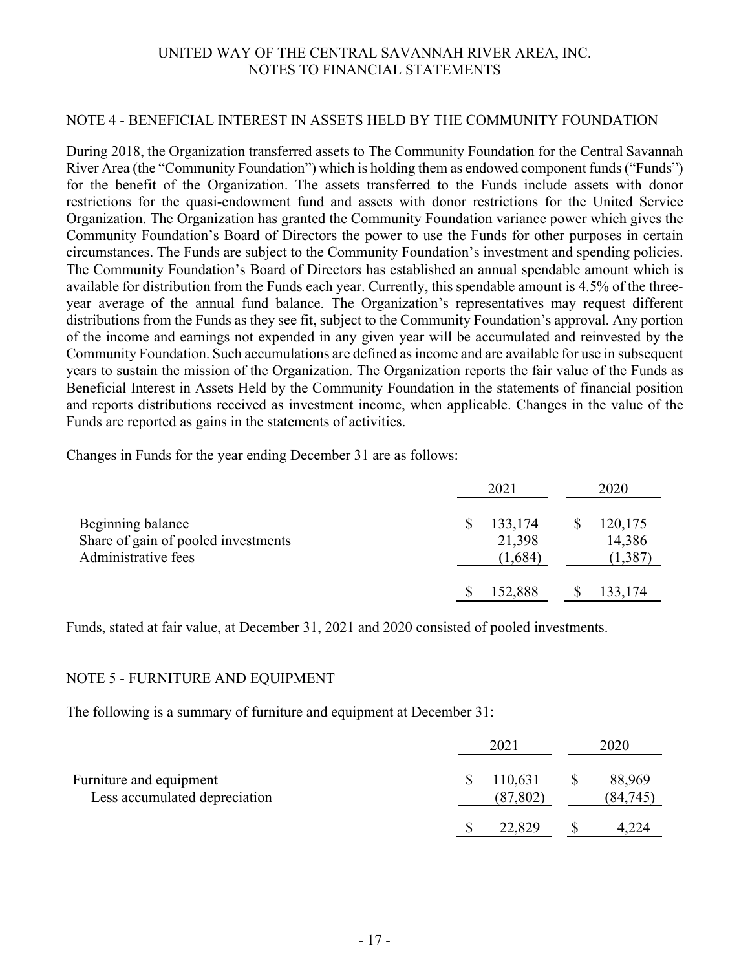#### NOTE 4 - BENEFICIAL INTEREST IN ASSETS HELD BY THE COMMUNITY FOUNDATION

During 2018, the Organization transferred assets to The Community Foundation for the Central Savannah River Area (the "Community Foundation") which is holding them as endowed component funds ("Funds") for the benefit of the Organization. The assets transferred to the Funds include assets with donor restrictions for the quasi-endowment fund and assets with donor restrictions for the United Service Organization. The Organization has granted the Community Foundation variance power which gives the Community Foundation's Board of Directors the power to use the Funds for other purposes in certain circumstances. The Funds are subject to the Community Foundation's investment and spending policies. The Community Foundation's Board of Directors has established an annual spendable amount which is available for distribution from the Funds each year. Currently, this spendable amount is 4.5% of the threeyear average of the annual fund balance. The Organization's representatives may request different distributions from the Funds as they see fit, subject to the Community Foundation's approval. Any portion of the income and earnings not expended in any given year will be accumulated and reinvested by the Community Foundation. Such accumulations are defined as income and are available for use in subsequent years to sustain the mission of the Organization. The Organization reports the fair value of the Funds as Beneficial Interest in Assets Held by the Community Foundation in the statements of financial position and reports distributions received as investment income, when applicable. Changes in the value of the Funds are reported as gains in the statements of activities.

Changes in Funds for the year ending December 31 are as follows:

|                                                                                 | 2021 |                              | 2020                          |
|---------------------------------------------------------------------------------|------|------------------------------|-------------------------------|
| Beginning balance<br>Share of gain of pooled investments<br>Administrative fees | S    | 133,174<br>21,398<br>(1,684) | 120,175<br>14,386<br>(1, 387) |
|                                                                                 |      | 152,888                      | 133,174                       |

Funds, stated at fair value, at December 31, 2021 and 2020 consisted of pooled investments.

### NOTE 5 - FURNITURE AND EQUIPMENT

The following is a summary of furniture and equipment at December 31:

|                                                          | 2021                 | 2020                |
|----------------------------------------------------------|----------------------|---------------------|
| Furniture and equipment<br>Less accumulated depreciation | 110,631<br>(87, 802) | 88,969<br>(84, 745) |
|                                                          | 22,829               |                     |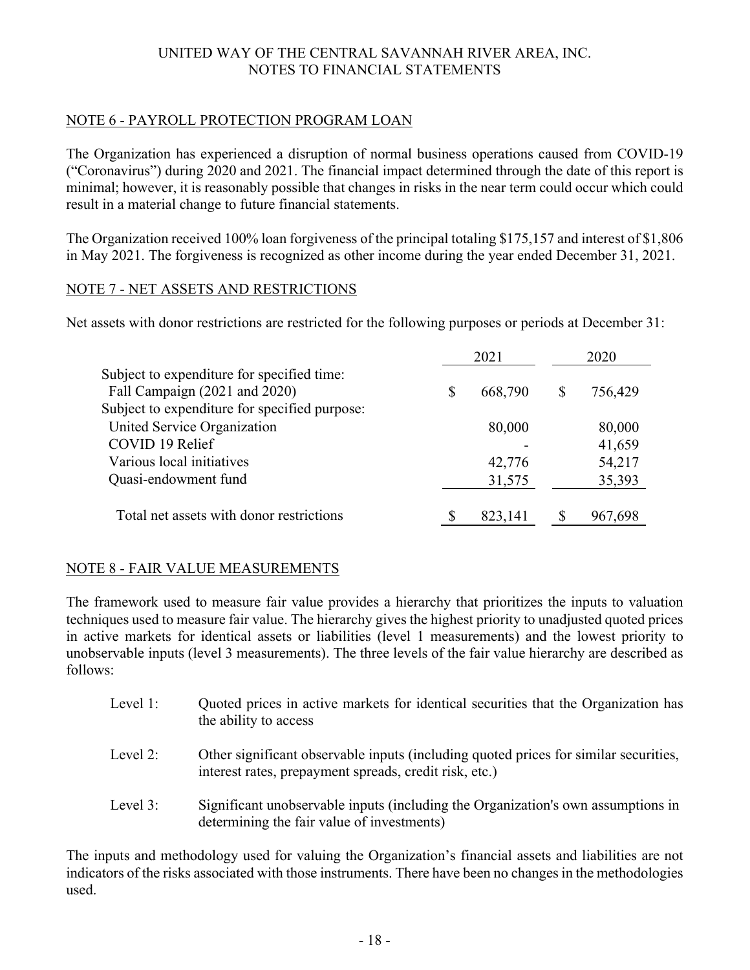# NOTE 6 - PAYROLL PROTECTION PROGRAM LOAN

The Organization has experienced a disruption of normal business operations caused from COVID-19 ("Coronavirus") during 2020 and 2021. The financial impact determined through the date of this report is minimal; however, it is reasonably possible that changes in risks in the near term could occur which could result in a material change to future financial statements.

The Organization received 100% loan forgiveness of the principal totaling \$175,157 and interest of \$1,806 in May 2021. The forgiveness is recognized as other income during the year ended December 31, 2021.

### NOTE 7 - NET ASSETS AND RESTRICTIONS

Net assets with donor restrictions are restricted for the following purposes or periods at December 31:

|                                               |   | 2021    |   | 2020    |
|-----------------------------------------------|---|---------|---|---------|
| Subject to expenditure for specified time:    |   |         |   |         |
| Fall Campaign (2021 and 2020)                 | S | 668,790 | S | 756,429 |
| Subject to expenditure for specified purpose: |   |         |   |         |
| United Service Organization                   |   | 80,000  |   | 80,000  |
| COVID 19 Relief                               |   |         |   | 41,659  |
| Various local initiatives                     |   | 42,776  |   | 54,217  |
| Quasi-endowment fund                          |   | 31,575  |   | 35,393  |
| Total net assets with donor restrictions      |   | 823,141 |   | 967,698 |

## NOTE 8 - FAIR VALUE MEASUREMENTS

The framework used to measure fair value provides a hierarchy that prioritizes the inputs to valuation techniques used to measure fair value. The hierarchy gives the highest priority to unadjusted quoted prices in active markets for identical assets or liabilities (level 1 measurements) and the lowest priority to unobservable inputs (level 3 measurements). The three levels of the fair value hierarchy are described as follows:

- Level 1: Ouoted prices in active markets for identical securities that the Organization has the ability to access
- Level 2: Other significant observable inputs (including quoted prices for similar securities, interest rates, prepayment spreads, credit risk, etc.)
- Level 3: Significant unobservable inputs (including the Organization's own assumptions in determining the fair value of investments)

The inputs and methodology used for valuing the Organization's financial assets and liabilities are not indicators of the risks associated with those instruments. There have been no changes in the methodologies used.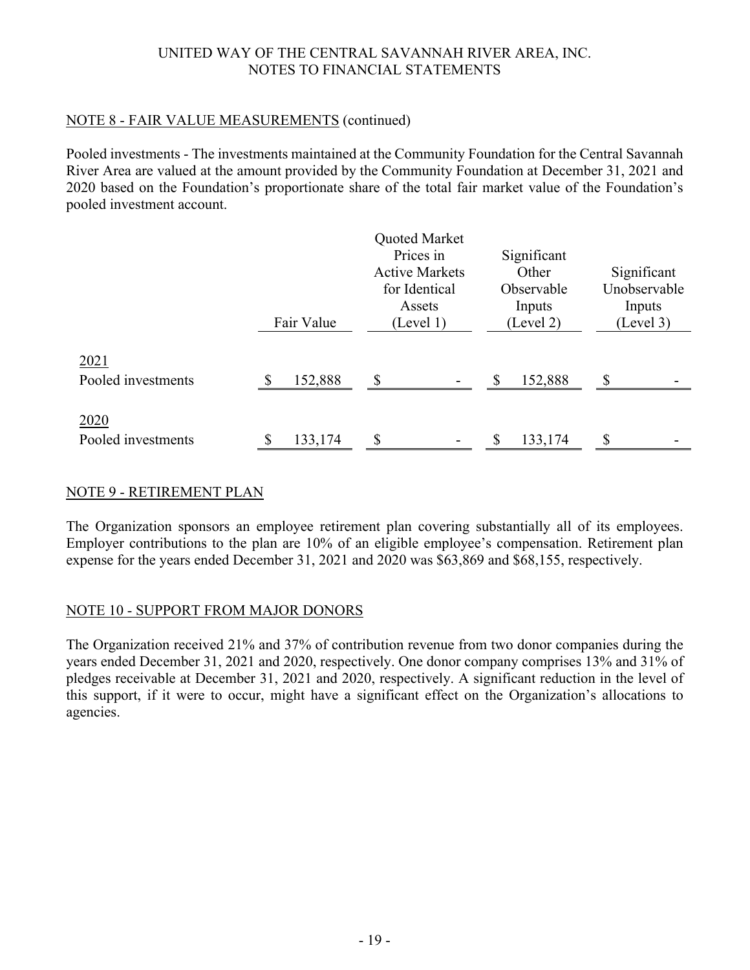## NOTE 8 - FAIR VALUE MEASUREMENTS (continued)

Pooled investments - The investments maintained at the Community Foundation for the Central Savannah River Area are valued at the amount provided by the Community Foundation at December 31, 2021 and 2020 based on the Foundation's proportionate share of the total fair market value of the Foundation's pooled investment account.

|                            |            | Quoted Market<br>Prices in<br><b>Active Markets</b><br>for Identical<br>Assets | Significant<br>Other<br>Observable<br>Inputs | Significant<br>Unobservable<br>Inputs |
|----------------------------|------------|--------------------------------------------------------------------------------|----------------------------------------------|---------------------------------------|
|                            | Fair Value | (Level 1)                                                                      | (Level 2)                                    | (Level 3)                             |
| 2021<br>Pooled investments | 152,888    | \$<br>$\overline{\phantom{a}}$                                                 | 152,888                                      | \$                                    |
| 2020<br>Pooled investments | 133,174    | \$<br>$\overline{\phantom{a}}$                                                 | 133,174                                      | \$                                    |

## NOTE 9 - RETIREMENT PLAN

The Organization sponsors an employee retirement plan covering substantially all of its employees. Employer contributions to the plan are 10% of an eligible employee's compensation. Retirement plan expense for the years ended December 31, 2021 and 2020 was \$63,869 and \$68,155, respectively.

## NOTE 10 - SUPPORT FROM MAJOR DONORS

The Organization received 21% and 37% of contribution revenue from two donor companies during the years ended December 31, 2021 and 2020, respectively. One donor company comprises 13% and 31% of pledges receivable at December 31, 2021 and 2020, respectively. A significant reduction in the level of this support, if it were to occur, might have a significant effect on the Organization's allocations to agencies.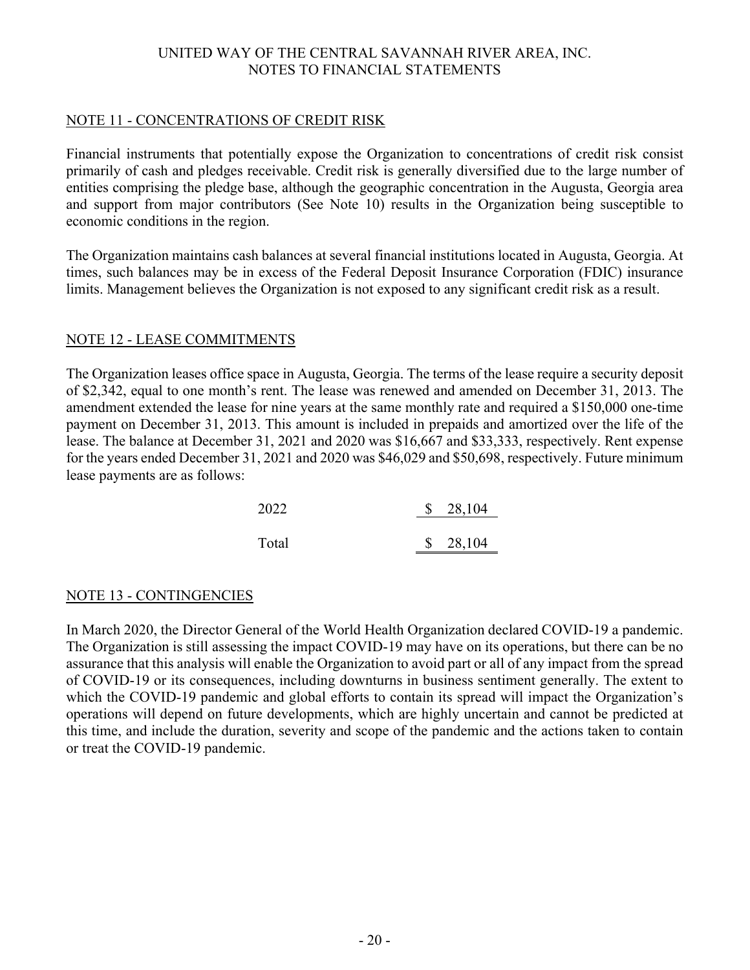### NOTE 11 - CONCENTRATIONS OF CREDIT RISK

Financial instruments that potentially expose the Organization to concentrations of credit risk consist primarily of cash and pledges receivable. Credit risk is generally diversified due to the large number of entities comprising the pledge base, although the geographic concentration in the Augusta, Georgia area and support from major contributors (See Note 10) results in the Organization being susceptible to economic conditions in the region.

The Organization maintains cash balances at several financial institutions located in Augusta, Georgia. At times, such balances may be in excess of the Federal Deposit Insurance Corporation (FDIC) insurance limits. Management believes the Organization is not exposed to any significant credit risk as a result.

### NOTE 12 - LEASE COMMITMENTS

The Organization leases office space in Augusta, Georgia. The terms of the lease require a security deposit of \$2,342, equal to one month's rent. The lease was renewed and amended on December 31, 2013. The amendment extended the lease for nine years at the same monthly rate and required a \$150,000 one-time payment on December 31, 2013. This amount is included in prepaids and amortized over the life of the lease. The balance at December 31, 2021 and 2020 was \$16,667 and \$33,333, respectively. Rent expense for the years ended December 31, 2021 and 2020 was \$46,029 and \$50,698, respectively. Future minimum lease payments are as follows:

| 2022  | \$28,104 |
|-------|----------|
| Total | \$28,104 |
|       |          |

## NOTE 13 - CONTINGENCIES

In March 2020, the Director General of the World Health Organization declared COVID-19 a pandemic. The Organization is still assessing the impact COVID-19 may have on its operations, but there can be no assurance that this analysis will enable the Organization to avoid part or all of any impact from the spread of COVID-19 or its consequences, including downturns in business sentiment generally. The extent to which the COVID-19 pandemic and global efforts to contain its spread will impact the Organization's operations will depend on future developments, which are highly uncertain and cannot be predicted at this time, and include the duration, severity and scope of the pandemic and the actions taken to contain or treat the COVID-19 pandemic.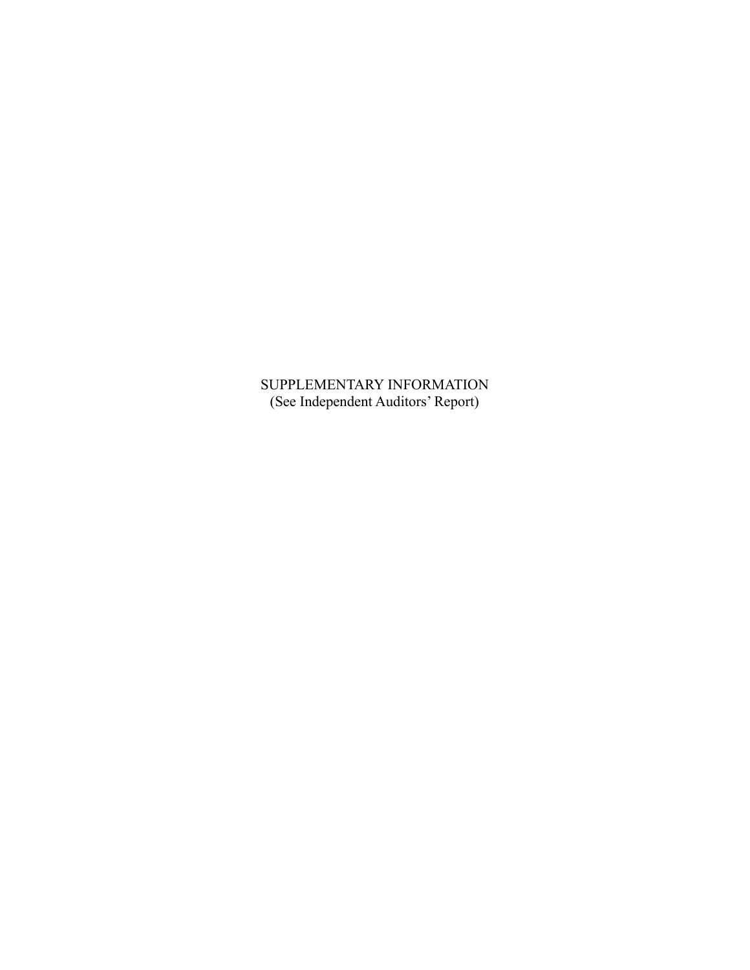SUPPLEMENTARY INFORMATION (See Independent Auditors' Report)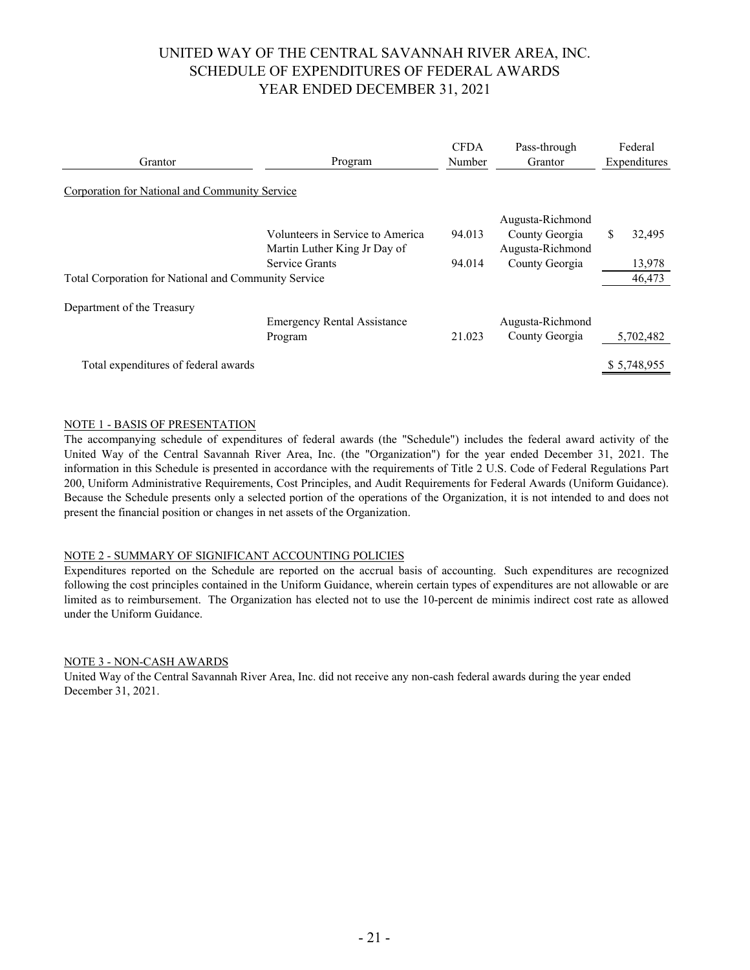# UNITED WAY OF THE CENTRAL SAVANNAH RIVER AREA, INC. SCHEDULE OF EXPENDITURES OF FEDERAL AWARDS YEAR ENDED DECEMBER 31, 2021

| Grantor                                              | Program                                                          | <b>CFDA</b><br>Number | Pass-through<br>Grantor            | Federal<br>Expenditures |
|------------------------------------------------------|------------------------------------------------------------------|-----------------------|------------------------------------|-------------------------|
| Corporation for National and Community Service       |                                                                  |                       |                                    |                         |
|                                                      |                                                                  |                       | Augusta-Richmond                   |                         |
|                                                      | Volunteers in Service to America<br>Martin Luther King Jr Day of | 94.013                | County Georgia<br>Augusta-Richmond | S<br>32,495             |
|                                                      | Service Grants                                                   | 94.014                | County Georgia                     | 13,978                  |
| Total Corporation for National and Community Service |                                                                  |                       |                                    | 46,473                  |
| Department of the Treasury                           |                                                                  |                       |                                    |                         |
|                                                      | <b>Emergency Rental Assistance</b>                               |                       | Augusta-Richmond                   |                         |
|                                                      | Program                                                          | 21.023                | County Georgia                     | 5,702,482               |
|                                                      |                                                                  |                       |                                    |                         |
| Total expenditures of federal awards                 |                                                                  |                       |                                    | \$5,748,955             |

#### NOTE 1 - BASIS OF PRESENTATION

The accompanying schedule of expenditures of federal awards (the "Schedule") includes the federal award activity of the United Way of the Central Savannah River Area, Inc. (the "Organization") for the year ended December 31, 2021. The information in this Schedule is presented in accordance with the requirements of Title 2 U.S. Code of Federal Regulations Part 200, Uniform Administrative Requirements, Cost Principles, and Audit Requirements for Federal Awards (Uniform Guidance). Because the Schedule presents only a selected portion of the operations of the Organization, it is not intended to and does not present the financial position or changes in net assets of the Organization.

#### NOTE 2 - SUMMARY OF SIGNIFICANT ACCOUNTING POLICIES

Expenditures reported on the Schedule are reported on the accrual basis of accounting. Such expenditures are recognized following the cost principles contained in the Uniform Guidance, wherein certain types of expenditures are not allowable or are limited as to reimbursement. The Organization has elected not to use the 10-percent de minimis indirect cost rate as allowed under the Uniform Guidance.

#### NOTE 3 - NON-CASH AWARDS

United Way of the Central Savannah River Area, Inc. did not receive any non-cash federal awards during the year ended December 31, 2021.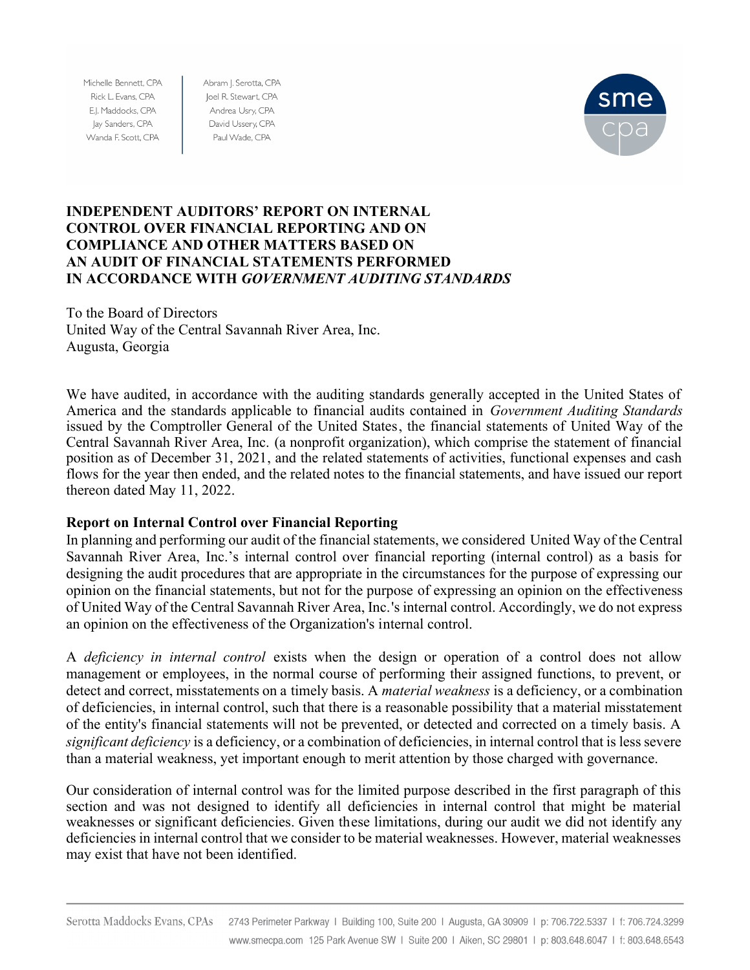Michelle Bennett, CPA Rick L. Evans, CPA E.J. Maddocks, CPA Jay Sanders, CPA Wanda F. Scott, CPA

Abram J. Serotta, CPA Joel R. Stewart, CPA Andrea Usry, CPA David Ussery, CPA Paul Wade, CPA



### **INDEPENDENT AUDITORS' REPORT ON INTERNAL CONTROL OVER FINANCIAL REPORTING AND ON COMPLIANCE AND OTHER MATTERS BASED ON AN AUDIT OF FINANCIAL STATEMENTS PERFORMED IN ACCORDANCE WITH** *GOVERNMENT AUDITING STANDARDS*

To the Board of Directors United Way of the Central Savannah River Area, Inc. Augusta, Georgia

We have audited, in accordance with the auditing standards generally accepted in the United States of America and the standards applicable to financial audits contained in *Government Auditing Standards* issued by the Comptroller General of the United States, the financial statements of United Way of the Central Savannah River Area, Inc. (a nonprofit organization), which comprise the statement of financial position as of December 31, 2021, and the related statements of activities, functional expenses and cash flows for the year then ended, and the related notes to the financial statements, and have issued our report thereon dated May 11, 2022.

### **Report on Internal Control over Financial Reporting**

In planning and performing our audit of the financial statements, we considered United Way of the Central Savannah River Area, Inc.'s internal control over financial reporting (internal control) as a basis for designing the audit procedures that are appropriate in the circumstances for the purpose of expressing our opinion on the financial statements, but not for the purpose of expressing an opinion on the effectiveness of United Way of the Central Savannah River Area, Inc.'s internal control. Accordingly, we do not express an opinion on the effectiveness of the Organization's internal control.

A *deficiency in internal control* exists when the design or operation of a control does not allow management or employees, in the normal course of performing their assigned functions, to prevent, or detect and correct, misstatements on a timely basis. A *material weakness* is a deficiency, or a combination of deficiencies, in internal control, such that there is a reasonable possibility that a material misstatement of the entity's financial statements will not be prevented, or detected and corrected on a timely basis. A *significant deficiency* is a deficiency, or a combination of deficiencies, in internal control that is less severe than a material weakness, yet important enough to merit attention by those charged with governance.

Our consideration of internal control was for the limited purpose described in the first paragraph of this section and was not designed to identify all deficiencies in internal control that might be material weaknesses or significant deficiencies. Given these limitations, during our audit we did not identify any deficiencies in internal control that we consider to be material weaknesses. However, material weaknesses may exist that have not been identified.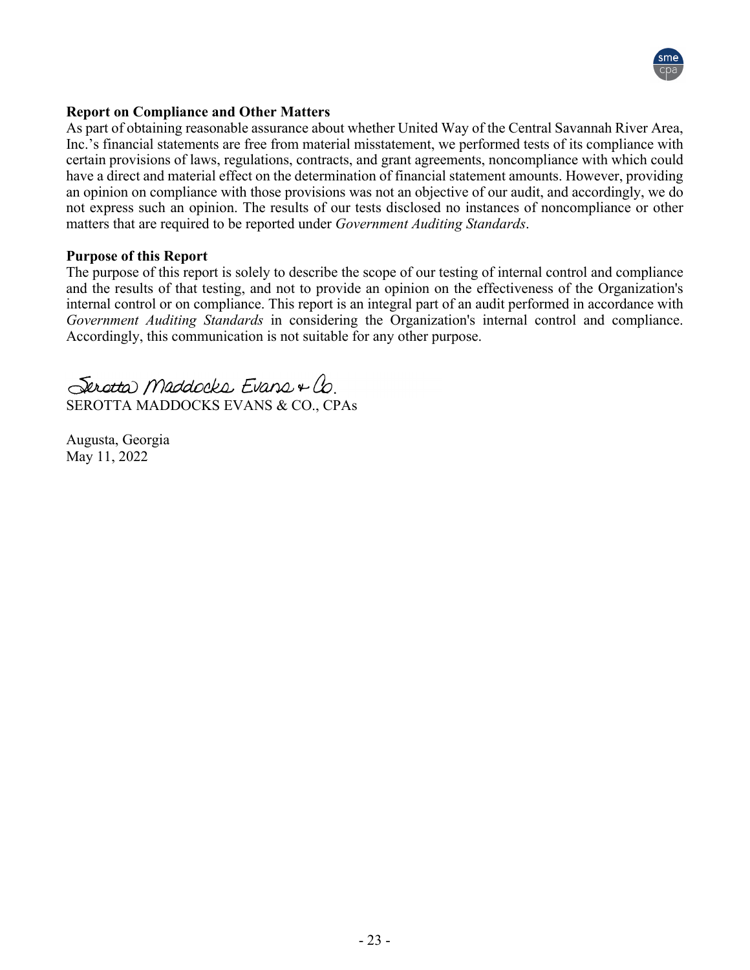

### **Report on Compliance and Other Matters**

As part of obtaining reasonable assurance about whether United Way of the Central Savannah River Area, Inc.'s financial statements are free from material misstatement, we performed tests of its compliance with certain provisions of laws, regulations, contracts, and grant agreements, noncompliance with which could have a direct and material effect on the determination of financial statement amounts. However, providing an opinion on compliance with those provisions was not an objective of our audit, and accordingly, we do not express such an opinion. The results of our tests disclosed no instances of noncompliance or other matters that are required to be reported under *Government Auditing Standards*.

#### **Purpose of this Report**

The purpose of this report is solely to describe the scope of our testing of internal control and compliance and the results of that testing, and not to provide an opinion on the effectiveness of the Organization's internal control or on compliance. This report is an integral part of an audit performed in accordance with *Government Auditing Standards* in considering the Organization's internal control and compliance. Accordingly, this communication is not suitable for any other purpose.

Serotta Maddocks Evans + Co. SEROTTA MADDOCKS EVANS & CO., CPAs

Augusta, Georgia May 11, 2022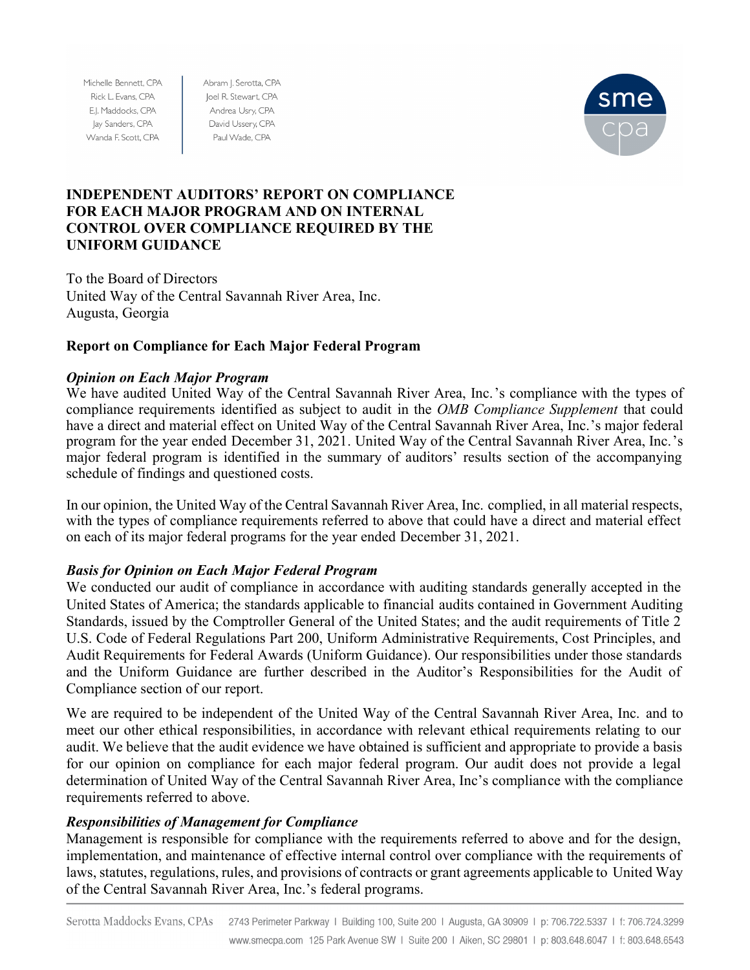Michelle Bennett, CPA Rick L. Evans, CPA E.J. Maddocks, CPA Jay Sanders, CPA Wanda F. Scott, CPA

Abram J. Serotta, CPA Joel R. Stewart, CPA Andrea Usry, CPA David Ussery, CPA Paul Wade, CPA



## **INDEPENDENT AUDITORS' REPORT ON COMPLIANCE FOR EACH MAJOR PROGRAM AND ON INTERNAL CONTROL OVER COMPLIANCE REQUIRED BY THE UNIFORM GUIDANCE**

To the Board of Directors United Way of the Central Savannah River Area, Inc. Augusta, Georgia

# **Report on Compliance for Each Major Federal Program**

# *Opinion on Each Major Program*

We have audited United Way of the Central Savannah River Area, Inc.'s compliance with the types of compliance requirements identified as subject to audit in the *OMB Compliance Supplement* that could have a direct and material effect on United Way of the Central Savannah River Area, Inc.'s major federal program for the year ended December 31, 2021. United Way of the Central Savannah River Area, Inc.'s major federal program is identified in the summary of auditors' results section of the accompanying schedule of findings and questioned costs.

In our opinion, the United Way of the Central Savannah River Area, Inc. complied, in all material respects, with the types of compliance requirements referred to above that could have a direct and material effect on each of its major federal programs for the year ended December 31, 2021.

# *Basis for Opinion on Each Major Federal Program*

We conducted our audit of compliance in accordance with auditing standards generally accepted in the United States of America; the standards applicable to financial audits contained in Government Auditing Standards, issued by the Comptroller General of the United States; and the audit requirements of Title 2 U.S. Code of Federal Regulations Part 200, Uniform Administrative Requirements, Cost Principles, and Audit Requirements for Federal Awards (Uniform Guidance). Our responsibilities under those standards and the Uniform Guidance are further described in the Auditor's Responsibilities for the Audit of Compliance section of our report.

We are required to be independent of the United Way of the Central Savannah River Area, Inc. and to meet our other ethical responsibilities, in accordance with relevant ethical requirements relating to our audit. We believe that the audit evidence we have obtained is sufficient and appropriate to provide a basis for our opinion on compliance for each major federal program. Our audit does not provide a legal determination of United Way of the Central Savannah River Area, Inc's compliance with the compliance requirements referred to above.

## *Responsibilities of Management for Compliance*

Management is responsible for compliance with the requirements referred to above and for the design, implementation, and maintenance of effective internal control over compliance with the requirements of laws, statutes, regulations, rules, and provisions of contracts or grant agreements applicable to United Way of the Central Savannah River Area, Inc.'s federal programs.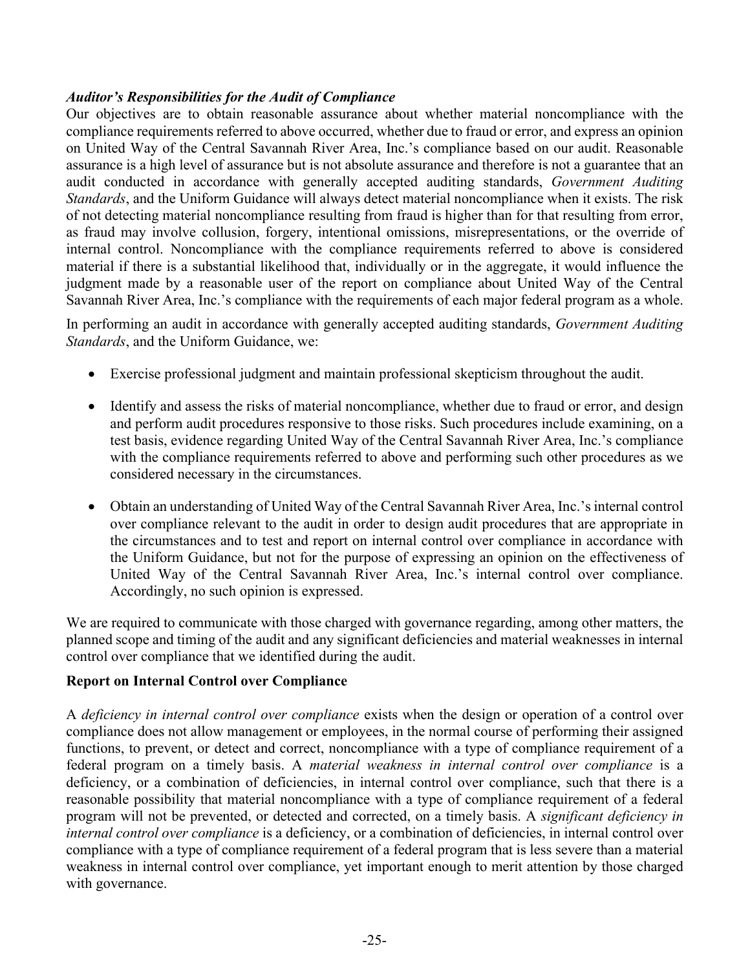### *Auditor's Responsibilities for the Audit of Compliance*

Our objectives are to obtain reasonable assurance about whether material noncompliance with the compliance requirements referred to above occurred, whether due to fraud or error, and express an opinion on United Way of the Central Savannah River Area, Inc.'s compliance based on our audit. Reasonable assurance is a high level of assurance but is not absolute assurance and therefore is not a guarantee that an audit conducted in accordance with generally accepted auditing standards, *Government Auditing Standards*, and the Uniform Guidance will always detect material noncompliance when it exists. The risk of not detecting material noncompliance resulting from fraud is higher than for that resulting from error, as fraud may involve collusion, forgery, intentional omissions, misrepresentations, or the override of internal control. Noncompliance with the compliance requirements referred to above is considered material if there is a substantial likelihood that, individually or in the aggregate, it would influence the judgment made by a reasonable user of the report on compliance about United Way of the Central Savannah River Area, Inc.'s compliance with the requirements of each major federal program as a whole.

In performing an audit in accordance with generally accepted auditing standards, *Government Auditing Standards*, and the Uniform Guidance, we:

- Exercise professional judgment and maintain professional skepticism throughout the audit.
- Identify and assess the risks of material noncompliance, whether due to fraud or error, and design and perform audit procedures responsive to those risks. Such procedures include examining, on a test basis, evidence regarding United Way of the Central Savannah River Area, Inc.'s compliance with the compliance requirements referred to above and performing such other procedures as we considered necessary in the circumstances.
- Obtain an understanding of United Way of the Central Savannah River Area, Inc.'s internal control over compliance relevant to the audit in order to design audit procedures that are appropriate in the circumstances and to test and report on internal control over compliance in accordance with the Uniform Guidance, but not for the purpose of expressing an opinion on the effectiveness of United Way of the Central Savannah River Area, Inc.'s internal control over compliance. Accordingly, no such opinion is expressed.

We are required to communicate with those charged with governance regarding, among other matters, the planned scope and timing of the audit and any significant deficiencies and material weaknesses in internal control over compliance that we identified during the audit.

## **Report on Internal Control over Compliance**

A *deficiency in internal control over compliance* exists when the design or operation of a control over compliance does not allow management or employees, in the normal course of performing their assigned functions, to prevent, or detect and correct, noncompliance with a type of compliance requirement of a federal program on a timely basis. A *material weakness in internal control over compliance* is a deficiency, or a combination of deficiencies, in internal control over compliance, such that there is a reasonable possibility that material noncompliance with a type of compliance requirement of a federal program will not be prevented, or detected and corrected, on a timely basis. A *significant deficiency in internal control over compliance* is a deficiency, or a combination of deficiencies, in internal control over compliance with a type of compliance requirement of a federal program that is less severe than a material weakness in internal control over compliance, yet important enough to merit attention by those charged with governance.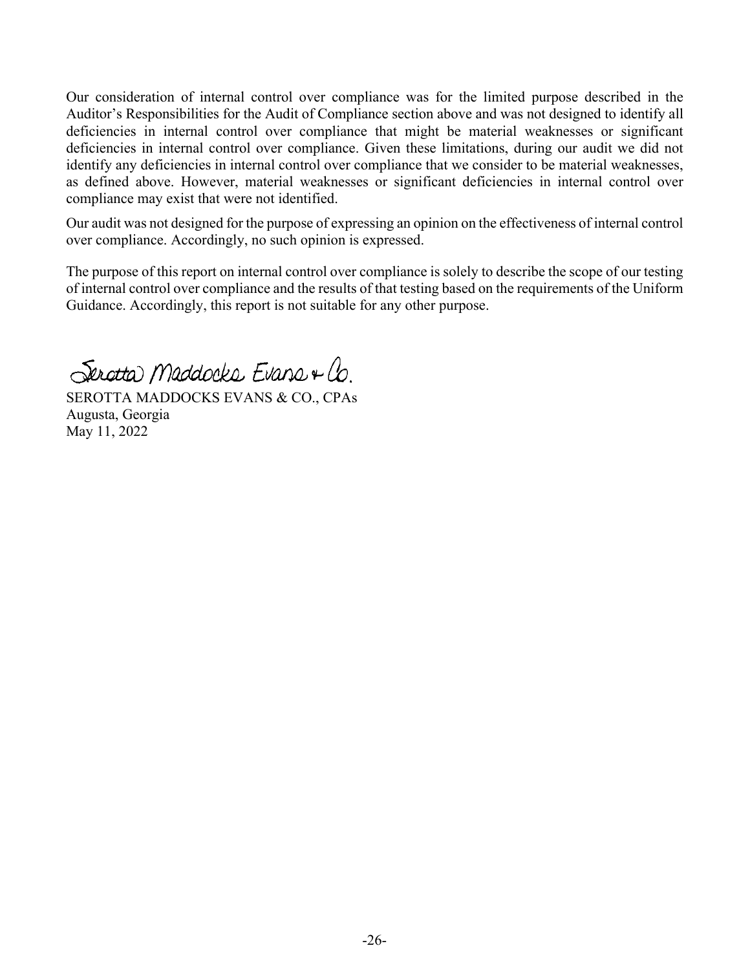Our consideration of internal control over compliance was for the limited purpose described in the Auditor's Responsibilities for the Audit of Compliance section above and was not designed to identify all deficiencies in internal control over compliance that might be material weaknesses or significant deficiencies in internal control over compliance. Given these limitations, during our audit we did not identify any deficiencies in internal control over compliance that we consider to be material weaknesses, as defined above. However, material weaknesses or significant deficiencies in internal control over compliance may exist that were not identified.

Our audit was not designed for the purpose of expressing an opinion on the effectiveness of internal control over compliance. Accordingly, no such opinion is expressed.

The purpose of this report on internal control over compliance is solely to describe the scope of our testing of internal control over compliance and the results of that testing based on the requirements of the Uniform Guidance. Accordingly, this report is not suitable for any other purpose.

Serotta Maddocks Evans + Co.

SEROTTA MADDOCKS EVANS & CO., CPAs Augusta, Georgia May 11, 2022